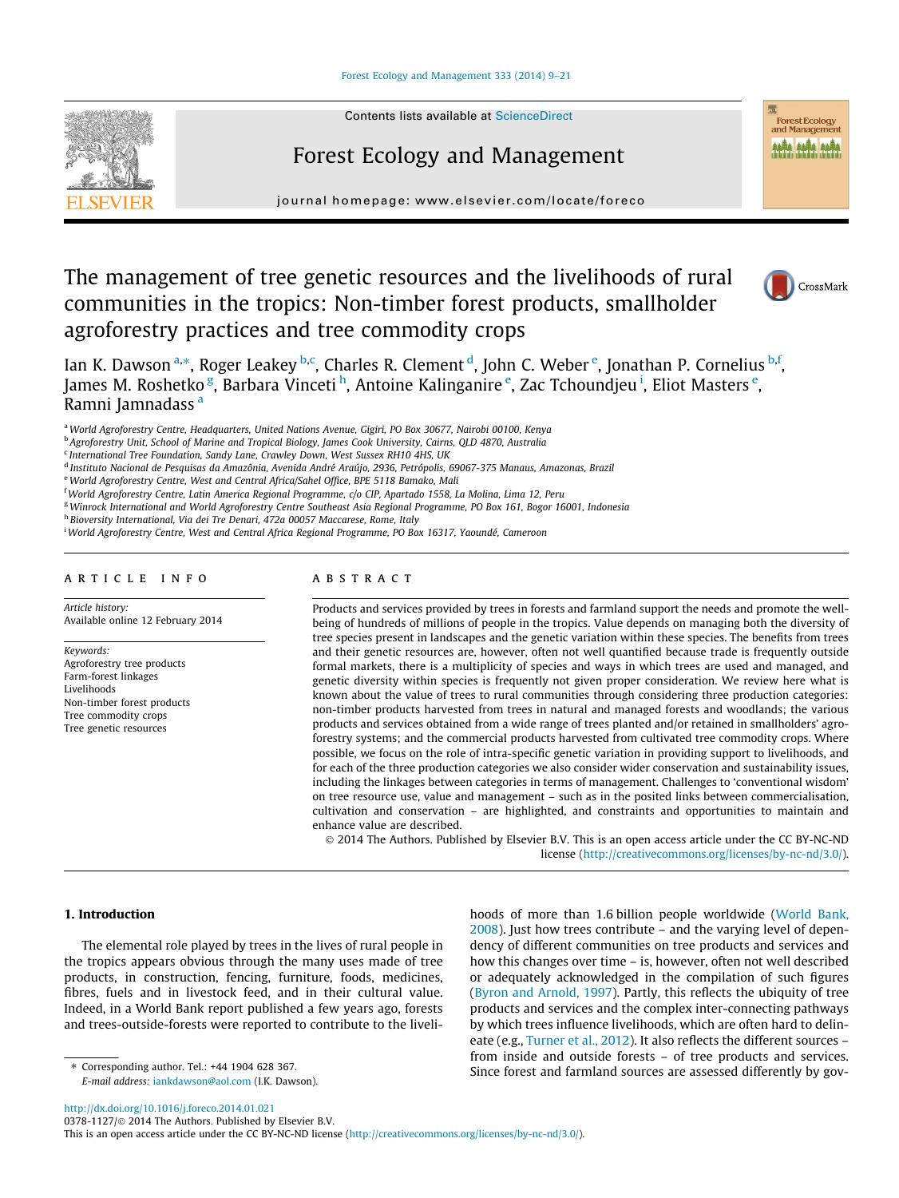#### [Forest Ecology and Management 333 \(2014\) 9–21](http://dx.doi.org/10.1016/j.foreco.2014.01.021)



Contents lists available at [ScienceDirect](http://www.sciencedirect.com/science/journal/03781127)

## Forest Ecology and Management

journal homepage: [www.elsevier.com/locate/foreco](http://www.elsevier.com/locate/foreco)

# The management of tree genetic resources and the livelihoods of rural communities in the tropics: Non-timber forest products, smallholder agroforestry practices and tree commodity crops



Forest Ecology and Managem # # #

Ian K. Dawson <sup>a,\*</sup>, Roger Leakey <sup>b,c</sup>, Charles R. Clement <sup>d</sup>, John C. Weber <sup>e</sup>, Jonathan P. Cornelius <sup>b,f</sup>, James M. Roshetko <sup>g</sup>, Barbara Vinceti <sup>h</sup>, Antoine Kalinganire <sup>e</sup>, Zac Tchoundjeu <sup>i</sup>, Eliot Masters <sup>e</sup>, Ramni Jamnadass<sup>a</sup>

a World Agroforestry Centre, Headquarters, United Nations Avenue, Gigiri, PO Box 30677, Nairobi 00100, Kenya

<sup>b</sup> Agroforestry Unit, School of Marine and Tropical Biology, James Cook University, Cairns, QLD 4870, Australia

<sup>c</sup> International Tree Foundation, Sandy Lane, Crawley Down, West Sussex RH10 4HS, UK

<sup>d</sup> Instituto Nacional de Pesquisas da Amazônia, Avenida André Araújo, 2936, Petrópolis, 69067-375 Manaus, Amazonas, Brazil

e World Agroforestry Centre, West and Central Africa/Sahel Office, BPE 5118 Bamako, Mali

<sup>f</sup> World Agroforestry Centre, Latin America Regional Programme, c/o CIP, Apartado 1558, La Molina, Lima 12, Peru

<sup>g</sup>Winrock International and World Agroforestry Centre Southeast Asia Regional Programme, PO Box 161, Bogor 16001, Indonesia

<sup>h</sup> Bioversity International, Via dei Tre Denari, 472a 00057 Maccarese, Rome, Italy

i World Agroforestry Centre, West and Central Africa Regional Programme, PO Box 16317, Yaoundé, Cameroon

#### article info

Article history: Available online 12 February 2014

Keywords: Agroforestry tree products Farm-forest linkages Livelihoods Non-timber forest products Tree commodity crops Tree genetic resources

## ABSTRACT

Products and services provided by trees in forests and farmland support the needs and promote the wellbeing of hundreds of millions of people in the tropics. Value depends on managing both the diversity of tree species present in landscapes and the genetic variation within these species. The benefits from trees and their genetic resources are, however, often not well quantified because trade is frequently outside formal markets, there is a multiplicity of species and ways in which trees are used and managed, and genetic diversity within species is frequently not given proper consideration. We review here what is known about the value of trees to rural communities through considering three production categories: non-timber products harvested from trees in natural and managed forests and woodlands; the various products and services obtained from a wide range of trees planted and/or retained in smallholders' agroforestry systems; and the commercial products harvested from cultivated tree commodity crops. Where possible, we focus on the role of intra-specific genetic variation in providing support to livelihoods, and for each of the three production categories we also consider wider conservation and sustainability issues, including the linkages between categories in terms of management. Challenges to 'conventional wisdom' on tree resource use, value and management – such as in the posited links between commercialisation, cultivation and conservation – are highlighted, and constraints and opportunities to maintain and enhance value are described.

© 2014 The Authors. Published by Elsevier B.V. This is an open access article under the CC BY-NC-ND license (<http://creativecommons.org/licenses/by-nc-nd/3.0/>).

#### 1. Introduction

The elemental role played by trees in the lives of rural people in the tropics appears obvious through the many uses made of tree products, in construction, fencing, furniture, foods, medicines, fibres, fuels and in livestock feed, and in their cultural value. Indeed, in a World Bank report published a few years ago, forests and trees-outside-forests were reported to contribute to the liveli-

⇑ Corresponding author. Tel.: +44 1904 628 367.

E-mail address: [iankdawson@aol.com](mailto:iankdawson@aol.com) (I.K. Dawson).

hoods of more than 1.6 billion people worldwide [\(World Bank,](#page-12-0) [2008](#page-12-0)). Just how trees contribute – and the varying level of dependency of different communities on tree products and services and how this changes over time – is, however, often not well described or adequately acknowledged in the compilation of such figures ([Byron and Arnold, 1997\)](#page-10-0). Partly, this reflects the ubiquity of tree products and services and the complex inter-connecting pathways by which trees influence livelihoods, which are often hard to delineate (e.g., [Turner et al., 2012](#page-12-0)). It also reflects the different sources – from inside and outside forests – of tree products and services. Since forest and farmland sources are assessed differently by gov-

<http://dx.doi.org/10.1016/j.foreco.2014.01.021>

0378-1127/© 2014 The Authors. Published by Elsevier B.V.

This is an open access article under the CC BY-NC-ND license ([http://creativecommons.org/licenses/by-nc-nd/3.0/\)](http://creativecommons.org/licenses/by-nc-nd/3.0/).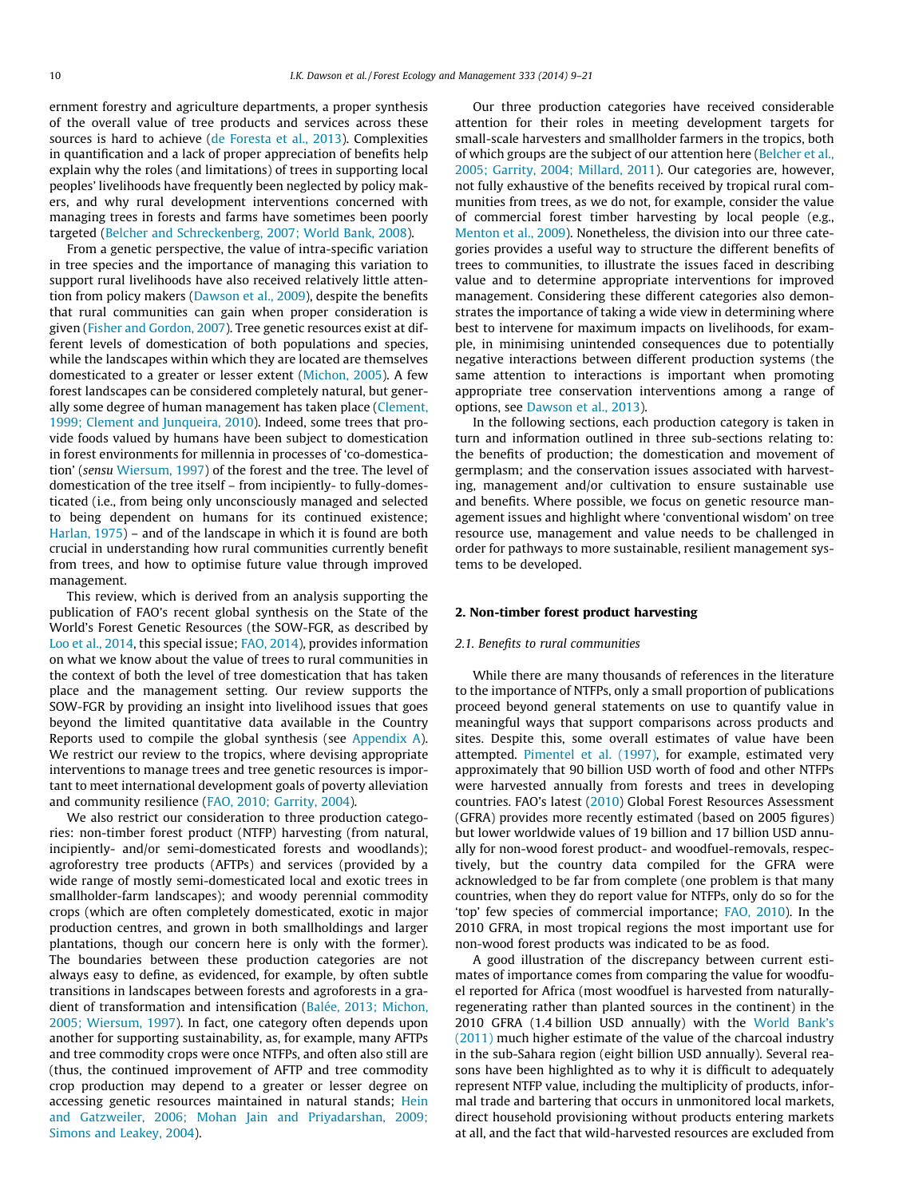<span id="page-1-0"></span>ernment forestry and agriculture departments, a proper synthesis of the overall value of tree products and services across these sources is hard to achieve [\(de Foresta et al., 2013](#page-10-0)). Complexities in quantification and a lack of proper appreciation of benefits help explain why the roles (and limitations) of trees in supporting local peoples' livelihoods have frequently been neglected by policy makers, and why rural development interventions concerned with managing trees in forests and farms have sometimes been poorly targeted ([Belcher and Schreckenberg, 2007; World Bank, 2008\)](#page-10-0).

From a genetic perspective, the value of intra-specific variation in tree species and the importance of managing this variation to support rural livelihoods have also received relatively little attention from policy makers ([Dawson et al., 2009](#page-10-0)), despite the benefits that rural communities can gain when proper consideration is given [\(Fisher and Gordon, 2007](#page-10-0)). Tree genetic resources exist at different levels of domestication of both populations and species, while the landscapes within which they are located are themselves domesticated to a greater or lesser extent ([Michon, 2005](#page-11-0)). A few forest landscapes can be considered completely natural, but generally some degree of human management has taken place [\(Clement,](#page-10-0) [1999; Clement and Junqueira, 2010\)](#page-10-0). Indeed, some trees that provide foods valued by humans have been subject to domestication in forest environments for millennia in processes of 'co-domestication' (sensu [Wiersum, 1997\)](#page-12-0) of the forest and the tree. The level of domestication of the tree itself – from incipiently- to fully-domesticated (i.e., from being only unconsciously managed and selected to being dependent on humans for its continued existence; [Harlan, 1975](#page-11-0)) – and of the landscape in which it is found are both crucial in understanding how rural communities currently benefit from trees, and how to optimise future value through improved management.

This review, which is derived from an analysis supporting the publication of FAO's recent global synthesis on the State of the World's Forest Genetic Resources (the SOW-FGR, as described by [Loo et al., 2014](#page-11-0), this special issue; [FAO, 2014\)](#page-10-0), provides information on what we know about the value of trees to rural communities in the context of both the level of tree domestication that has taken place and the management setting. Our review supports the SOW-FGR by providing an insight into livelihood issues that goes beyond the limited quantitative data available in the Country Reports used to compile the global synthesis (see [Appendix A\)](#page-9-0). We restrict our review to the tropics, where devising appropriate interventions to manage trees and tree genetic resources is important to meet international development goals of poverty alleviation and community resilience [\(FAO, 2010; Garrity, 2004\)](#page-10-0).

We also restrict our consideration to three production categories: non-timber forest product (NTFP) harvesting (from natural, incipiently- and/or semi-domesticated forests and woodlands); agroforestry tree products (AFTPs) and services (provided by a wide range of mostly semi-domesticated local and exotic trees in smallholder-farm landscapes); and woody perennial commodity crops (which are often completely domesticated, exotic in major production centres, and grown in both smallholdings and larger plantations, though our concern here is only with the former). The boundaries between these production categories are not always easy to define, as evidenced, for example, by often subtle transitions in landscapes between forests and agroforests in a gradient of transformation and intensification [\(Balée, 2013; Michon,](#page-10-0) [2005; Wiersum, 1997\)](#page-10-0). In fact, one category often depends upon another for supporting sustainability, as, for example, many AFTPs and tree commodity crops were once NTFPs, and often also still are (thus, the continued improvement of AFTP and tree commodity crop production may depend to a greater or lesser degree on accessing genetic resources maintained in natural stands; [Hein](#page-11-0) [and Gatzweiler, 2006; Mohan Jain and Priyadarshan, 2009;](#page-11-0) [Simons and Leakey, 2004\)](#page-11-0).

Our three production categories have received considerable attention for their roles in meeting development targets for small-scale harvesters and smallholder farmers in the tropics, both of which groups are the subject of our attention here ([Belcher et al.,](#page-10-0) [2005; Garrity, 2004; Millard, 2011\)](#page-10-0). Our categories are, however, not fully exhaustive of the benefits received by tropical rural communities from trees, as we do not, for example, consider the value of commercial forest timber harvesting by local people (e.g., [Menton et al., 2009\)](#page-11-0). Nonetheless, the division into our three categories provides a useful way to structure the different benefits of trees to communities, to illustrate the issues faced in describing value and to determine appropriate interventions for improved management. Considering these different categories also demonstrates the importance of taking a wide view in determining where best to intervene for maximum impacts on livelihoods, for example, in minimising unintended consequences due to potentially negative interactions between different production systems (the same attention to interactions is important when promoting appropriate tree conservation interventions among a range of options, see [Dawson et al., 2013](#page-10-0)).

In the following sections, each production category is taken in turn and information outlined in three sub-sections relating to: the benefits of production; the domestication and movement of germplasm; and the conservation issues associated with harvesting, management and/or cultivation to ensure sustainable use and benefits. Where possible, we focus on genetic resource management issues and highlight where 'conventional wisdom' on tree resource use, management and value needs to be challenged in order for pathways to more sustainable, resilient management systems to be developed.

#### 2. Non-timber forest product harvesting

### 2.1. Benefits to rural communities

While there are many thousands of references in the literature to the importance of NTFPs, only a small proportion of publications proceed beyond general statements on use to quantify value in meaningful ways that support comparisons across products and sites. Despite this, some overall estimates of value have been attempted. [Pimentel et al. \(1997\),](#page-12-0) for example, estimated very approximately that 90 billion USD worth of food and other NTFPs were harvested annually from forests and trees in developing countries. FAO's latest [\(2010](#page-10-0)) Global Forest Resources Assessment (GFRA) provides more recently estimated (based on 2005 figures) but lower worldwide values of 19 billion and 17 billion USD annually for non-wood forest product- and woodfuel-removals, respectively, but the country data compiled for the GFRA were acknowledged to be far from complete (one problem is that many countries, when they do report value for NTFPs, only do so for the 'top' few species of commercial importance; [FAO, 2010](#page-10-0)). In the 2010 GFRA, in most tropical regions the most important use for non-wood forest products was indicated to be as food.

A good illustration of the discrepancy between current estimates of importance comes from comparing the value for woodfuel reported for Africa (most woodfuel is harvested from naturallyregenerating rather than planted sources in the continent) in the 2010 GFRA (1.4 billion USD annually) with the [World Bank's](#page-12-0) [\(2011\)](#page-12-0) much higher estimate of the value of the charcoal industry in the sub-Sahara region (eight billion USD annually). Several reasons have been highlighted as to why it is difficult to adequately represent NTFP value, including the multiplicity of products, informal trade and bartering that occurs in unmonitored local markets, direct household provisioning without products entering markets at all, and the fact that wild-harvested resources are excluded from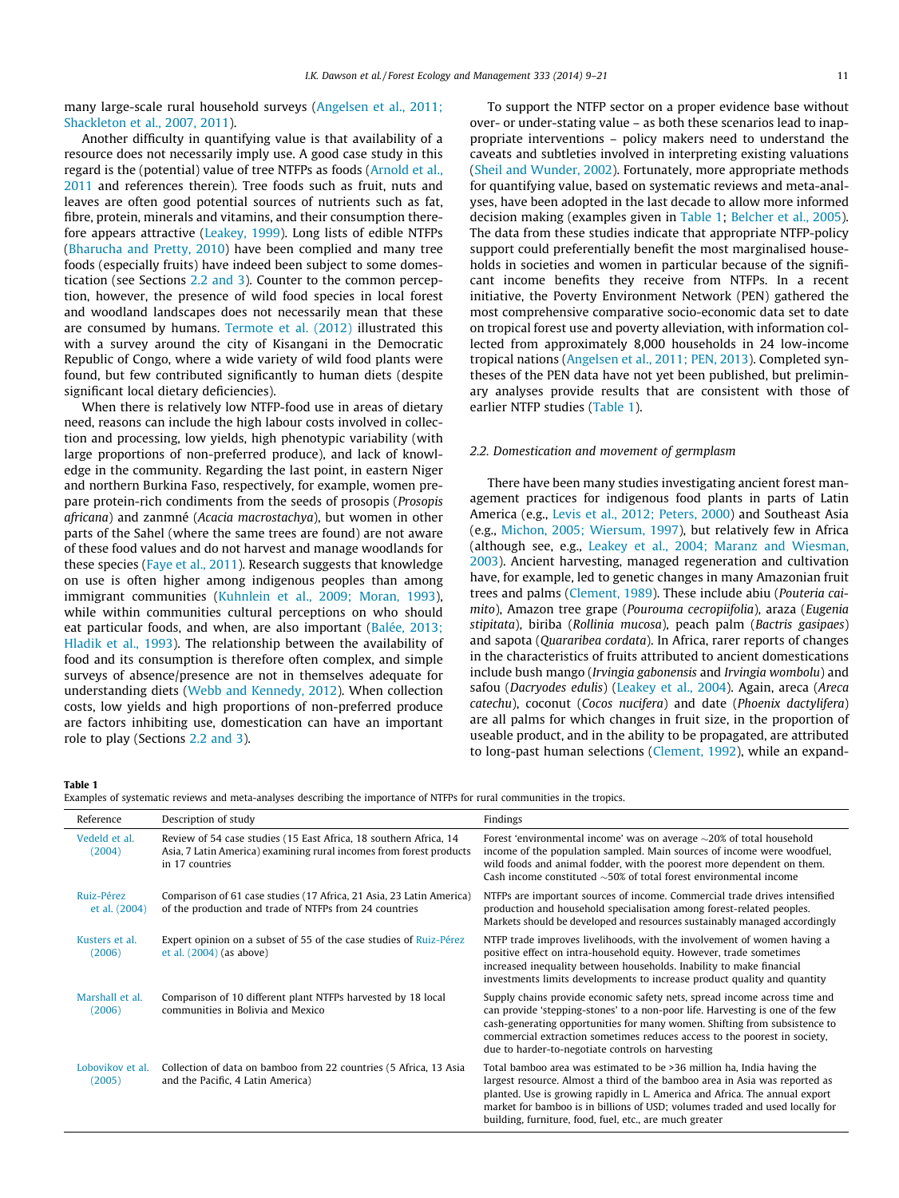<span id="page-2-0"></span>many large-scale rural household surveys ([Angelsen et al., 2011;](#page-10-0) [Shackleton et al., 2007, 2011\)](#page-10-0).

Another difficulty in quantifying value is that availability of a resource does not necessarily imply use. A good case study in this regard is the (potential) value of tree NTFPs as foods ([Arnold et al.,](#page-10-0) [2011](#page-10-0) and references therein). Tree foods such as fruit, nuts and leaves are often good potential sources of nutrients such as fat, fibre, protein, minerals and vitamins, and their consumption therefore appears attractive ([Leakey, 1999\)](#page-11-0). Long lists of edible NTFPs ([Bharucha and Pretty, 2010\)](#page-10-0) have been complied and many tree foods (especially fruits) have indeed been subject to some domestication (see Sections 2.2 and 3). Counter to the common perception, however, the presence of wild food species in local forest and woodland landscapes does not necessarily mean that these are consumed by humans. [Termote et al. \(2012\)](#page-12-0) illustrated this with a survey around the city of Kisangani in the Democratic Republic of Congo, where a wide variety of wild food plants were found, but few contributed significantly to human diets (despite significant local dietary deficiencies).

When there is relatively low NTFP-food use in areas of dietary need, reasons can include the high labour costs involved in collection and processing, low yields, high phenotypic variability (with large proportions of non-preferred produce), and lack of knowledge in the community. Regarding the last point, in eastern Niger and northern Burkina Faso, respectively, for example, women prepare protein-rich condiments from the seeds of prosopis (Prosopis africana) and zanmné (Acacia macrostachya), but women in other parts of the Sahel (where the same trees are found) are not aware of these food values and do not harvest and manage woodlands for these species [\(Faye et al., 2011\)](#page-10-0). Research suggests that knowledge on use is often higher among indigenous peoples than among immigrant communities ([Kuhnlein et al., 2009; Moran, 1993\)](#page-11-0), while within communities cultural perceptions on who should eat particular foods, and when, are also important [\(Balée, 2013;](#page-10-0) [Hladik et al., 1993\)](#page-10-0). The relationship between the availability of food and its consumption is therefore often complex, and simple surveys of absence/presence are not in themselves adequate for understanding diets ([Webb and Kennedy, 2012](#page-12-0)). When collection costs, low yields and high proportions of non-preferred produce are factors inhibiting use, domestication can have an important role to play (Sections 2.2 and 3).

To support the NTFP sector on a proper evidence base without over- or under-stating value – as both these scenarios lead to inappropriate interventions – policy makers need to understand the caveats and subtleties involved in interpreting existing valuations ([Sheil and Wunder, 2002\)](#page-12-0). Fortunately, more appropriate methods for quantifying value, based on systematic reviews and meta-analyses, have been adopted in the last decade to allow more informed decision making (examples given in Table 1; [Belcher et al., 2005\)](#page-10-0). The data from these studies indicate that appropriate NTFP-policy support could preferentially benefit the most marginalised households in societies and women in particular because of the significant income benefits they receive from NTFPs. In a recent initiative, the Poverty Environment Network (PEN) gathered the most comprehensive comparative socio-economic data set to date on tropical forest use and poverty alleviation, with information collected from approximately 8,000 households in 24 low-income tropical nations ([Angelsen et al., 2011; PEN, 2013](#page-10-0)). Completed syntheses of the PEN data have not yet been published, but preliminary analyses provide results that are consistent with those of earlier NTFP studies (Table 1).

#### 2.2. Domestication and movement of germplasm

There have been many studies investigating ancient forest management practices for indigenous food plants in parts of Latin America (e.g., [Levis et al., 2012; Peters, 2000\)](#page-11-0) and Southeast Asia (e.g., [Michon, 2005; Wiersum, 1997\)](#page-11-0), but relatively few in Africa (although see, e.g., [Leakey et al., 2004; Maranz and Wiesman,](#page-11-0) [2003](#page-11-0)). Ancient harvesting, managed regeneration and cultivation have, for example, led to genetic changes in many Amazonian fruit trees and palms [\(Clement, 1989](#page-10-0)). These include abiu (Pouteria caimito), Amazon tree grape (Pourouma cecropiifolia), araza (Eugenia stipitata), biriba (Rollinia mucosa), peach palm (Bactris gasipaes) and sapota (Quararibea cordata). In Africa, rarer reports of changes in the characteristics of fruits attributed to ancient domestications include bush mango (Irvingia gabonensis and Irvingia wombolu) and safou (Dacryodes edulis) ([Leakey et al., 2004](#page-11-0)). Again, areca (Areca catechu), coconut (Cocos nucifera) and date (Phoenix dactylifera) are all palms for which changes in fruit size, in the proportion of useable product, and in the ability to be propagated, are attributed to long-past human selections ([Clement, 1992](#page-10-0)), while an expand-

Table 1

Examples of systematic reviews and meta-analyses describing the importance of NTFPs for rural communities in the tropics.

| Examples of systematic reviews and meta-analyses describing the importance of NTFPs for rural communities in the tropics. |                                                                                                                                                             |                                                                                                                                                                                                                                                                                                                                                                                 |  |  |
|---------------------------------------------------------------------------------------------------------------------------|-------------------------------------------------------------------------------------------------------------------------------------------------------------|---------------------------------------------------------------------------------------------------------------------------------------------------------------------------------------------------------------------------------------------------------------------------------------------------------------------------------------------------------------------------------|--|--|
| Reference                                                                                                                 | Description of study                                                                                                                                        | Findings                                                                                                                                                                                                                                                                                                                                                                        |  |  |
| Vedeld et al.<br>(2004)                                                                                                   | Review of 54 case studies (15 East Africa, 18 southern Africa, 14<br>Asia, 7 Latin America) examining rural incomes from forest products<br>in 17 countries | Forest 'environmental income' was on average $\sim$ 20% of total household<br>income of the population sampled. Main sources of income were woodfuel,<br>wild foods and animal fodder, with the poorest more dependent on them.<br>Cash income constituted $\sim$ 50% of total forest environmental income                                                                      |  |  |
| Ruiz-Pérez<br>et al. (2004)                                                                                               | Comparison of 61 case studies (17 Africa, 21 Asia, 23 Latin America)<br>of the production and trade of NTFPs from 24 countries                              | NTFPs are important sources of income. Commercial trade drives intensified<br>production and household specialisation among forest-related peoples.<br>Markets should be developed and resources sustainably managed accordingly                                                                                                                                                |  |  |
| Kusters et al.<br>(2006)                                                                                                  | Expert opinion on a subset of 55 of the case studies of Ruiz-Pérez<br>et al. $(2004)$ (as above)                                                            | NTFP trade improves livelihoods, with the involvement of women having a<br>positive effect on intra-household equity. However, trade sometimes<br>increased inequality between households. Inability to make financial<br>investments limits developments to increase product quality and quantity                                                                              |  |  |
| Marshall et al.<br>(2006)                                                                                                 | Comparison of 10 different plant NTFPs harvested by 18 local<br>communities in Bolivia and Mexico                                                           | Supply chains provide economic safety nets, spread income across time and<br>can provide 'stepping-stones' to a non-poor life. Harvesting is one of the few<br>cash-generating opportunities for many women. Shifting from subsistence to<br>commercial extraction sometimes reduces access to the poorest in society,<br>due to harder-to-negotiate controls on harvesting     |  |  |
| Lobovikov et al.<br>(2005)                                                                                                | Collection of data on bamboo from 22 countries (5 Africa, 13 Asia<br>and the Pacific, 4 Latin America)                                                      | Total bamboo area was estimated to be >36 million ha, India having the<br>largest resource. Almost a third of the bamboo area in Asia was reported as<br>planted. Use is growing rapidly in L. America and Africa. The annual export<br>market for bamboo is in billions of USD; volumes traded and used locally for<br>building, furniture, food, fuel, etc., are much greater |  |  |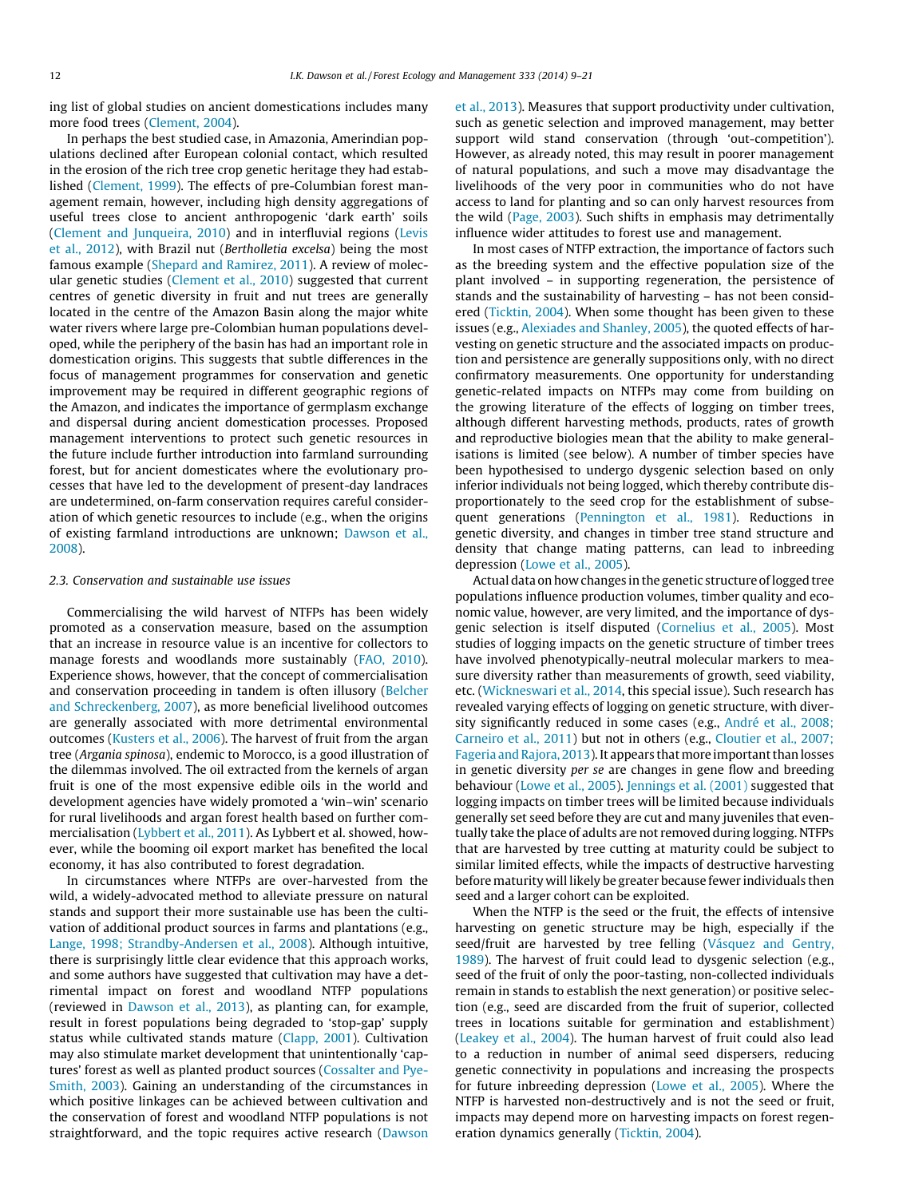ing list of global studies on ancient domestications includes many more food trees ([Clement, 2004\)](#page-10-0).

In perhaps the best studied case, in Amazonia, Amerindian populations declined after European colonial contact, which resulted in the erosion of the rich tree crop genetic heritage they had established [\(Clement, 1999\)](#page-10-0). The effects of pre-Columbian forest management remain, however, including high density aggregations of useful trees close to ancient anthropogenic 'dark earth' soils ([Clement and Junqueira, 2010\)](#page-10-0) and in interfluvial regions ([Levis](#page-11-0) [et al., 2012](#page-11-0)), with Brazil nut (Bertholletia excelsa) being the most famous example ([Shepard and Ramirez, 2011](#page-12-0)). A review of molecular genetic studies ([Clement et al., 2010](#page-10-0)) suggested that current centres of genetic diversity in fruit and nut trees are generally located in the centre of the Amazon Basin along the major white water rivers where large pre-Colombian human populations developed, while the periphery of the basin has had an important role in domestication origins. This suggests that subtle differences in the focus of management programmes for conservation and genetic improvement may be required in different geographic regions of the Amazon, and indicates the importance of germplasm exchange and dispersal during ancient domestication processes. Proposed management interventions to protect such genetic resources in the future include further introduction into farmland surrounding forest, but for ancient domesticates where the evolutionary processes that have led to the development of present-day landraces are undetermined, on-farm conservation requires careful consideration of which genetic resources to include (e.g., when the origins of existing farmland introductions are unknown; [Dawson et al.,](#page-10-0) [2008\)](#page-10-0).

#### 2.3. Conservation and sustainable use issues

Commercialising the wild harvest of NTFPs has been widely promoted as a conservation measure, based on the assumption that an increase in resource value is an incentive for collectors to manage forests and woodlands more sustainably ([FAO, 2010\)](#page-10-0). Experience shows, however, that the concept of commercialisation and conservation proceeding in tandem is often illusory ([Belcher](#page-10-0) [and Schreckenberg, 2007\)](#page-10-0), as more beneficial livelihood outcomes are generally associated with more detrimental environmental outcomes ([Kusters et al., 2006](#page-11-0)). The harvest of fruit from the argan tree (Argania spinosa), endemic to Morocco, is a good illustration of the dilemmas involved. The oil extracted from the kernels of argan fruit is one of the most expensive edible oils in the world and development agencies have widely promoted a 'win–win' scenario for rural livelihoods and argan forest health based on further commercialisation [\(Lybbert et al., 2011\)](#page-11-0). As Lybbert et al. showed, however, while the booming oil export market has benefited the local economy, it has also contributed to forest degradation.

In circumstances where NTFPs are over-harvested from the wild, a widely-advocated method to alleviate pressure on natural stands and support their more sustainable use has been the cultivation of additional product sources in farms and plantations (e.g., [Lange, 1998; Strandby-Andersen et al., 2008\)](#page-11-0). Although intuitive, there is surprisingly little clear evidence that this approach works, and some authors have suggested that cultivation may have a detrimental impact on forest and woodland NTFP populations (reviewed in [Dawson et al., 2013\)](#page-10-0), as planting can, for example, result in forest populations being degraded to 'stop-gap' supply status while cultivated stands mature ([Clapp, 2001\)](#page-10-0). Cultivation may also stimulate market development that unintentionally 'captures' forest as well as planted product sources [\(Cossalter and Pye-](#page-10-0)[Smith, 2003](#page-10-0)). Gaining an understanding of the circumstances in which positive linkages can be achieved between cultivation and the conservation of forest and woodland NTFP populations is not straightforward, and the topic requires active research [\(Dawson](#page-10-0) [et al., 2013\)](#page-10-0). Measures that support productivity under cultivation, such as genetic selection and improved management, may better support wild stand conservation (through 'out-competition'). However, as already noted, this may result in poorer management of natural populations, and such a move may disadvantage the livelihoods of the very poor in communities who do not have access to land for planting and so can only harvest resources from the wild ([Page, 2003\)](#page-11-0). Such shifts in emphasis may detrimentally influence wider attitudes to forest use and management.

In most cases of NTFP extraction, the importance of factors such as the breeding system and the effective population size of the plant involved – in supporting regeneration, the persistence of stands and the sustainability of harvesting – has not been considered [\(Ticktin, 2004\)](#page-12-0). When some thought has been given to these issues (e.g., [Alexiades and Shanley, 2005\)](#page-10-0), the quoted effects of harvesting on genetic structure and the associated impacts on production and persistence are generally suppositions only, with no direct confirmatory measurements. One opportunity for understanding genetic-related impacts on NTFPs may come from building on the growing literature of the effects of logging on timber trees, although different harvesting methods, products, rates of growth and reproductive biologies mean that the ability to make generalisations is limited (see below). A number of timber species have been hypothesised to undergo dysgenic selection based on only inferior individuals not being logged, which thereby contribute disproportionately to the seed crop for the establishment of subsequent generations ([Pennington et al., 1981](#page-12-0)). Reductions in genetic diversity, and changes in timber tree stand structure and density that change mating patterns, can lead to inbreeding depression [\(Lowe et al., 2005\)](#page-11-0).

Actual data on how changes in the genetic structure of logged tree populations influence production volumes, timber quality and economic value, however, are very limited, and the importance of dysgenic selection is itself disputed ([Cornelius et al., 2005](#page-10-0)). Most studies of logging impacts on the genetic structure of timber trees have involved phenotypically-neutral molecular markers to measure diversity rather than measurements of growth, seed viability, etc. ([Wickneswari et al., 2014](#page-12-0), this special issue). Such research has revealed varying effects of logging on genetic structure, with diversity significantly reduced in some cases (e.g., [André et al., 2008;](#page-10-0) [Carneiro et al., 2011](#page-10-0)) but not in others (e.g., [Cloutier et al., 2007;](#page-10-0) [Fageria and Rajora, 2013](#page-10-0)). It appears thatmore important than losses in genetic diversity per se are changes in gene flow and breeding behaviour ([Lowe et al., 2005](#page-11-0)). [Jennings et al. \(2001\)](#page-11-0) suggested that logging impacts on timber trees will be limited because individuals generally set seed before they are cut and many juveniles that eventually take the place of adults are not removed during logging. NTFPs that are harvested by tree cutting at maturity could be subject to similar limited effects, while the impacts of destructive harvesting before maturity will likely be greater because fewer individuals then seed and a larger cohort can be exploited.

When the NTFP is the seed or the fruit, the effects of intensive harvesting on genetic structure may be high, especially if the seed/fruit are harvested by tree felling [\(Vásquez and Gentry,](#page-12-0) [1989\)](#page-12-0). The harvest of fruit could lead to dysgenic selection (e.g., seed of the fruit of only the poor-tasting, non-collected individuals remain in stands to establish the next generation) or positive selection (e.g., seed are discarded from the fruit of superior, collected trees in locations suitable for germination and establishment) ([Leakey et al., 2004](#page-11-0)). The human harvest of fruit could also lead to a reduction in number of animal seed dispersers, reducing genetic connectivity in populations and increasing the prospects for future inbreeding depression [\(Lowe et al., 2005\)](#page-11-0). Where the NTFP is harvested non-destructively and is not the seed or fruit, impacts may depend more on harvesting impacts on forest regeneration dynamics generally ([Ticktin, 2004](#page-12-0)).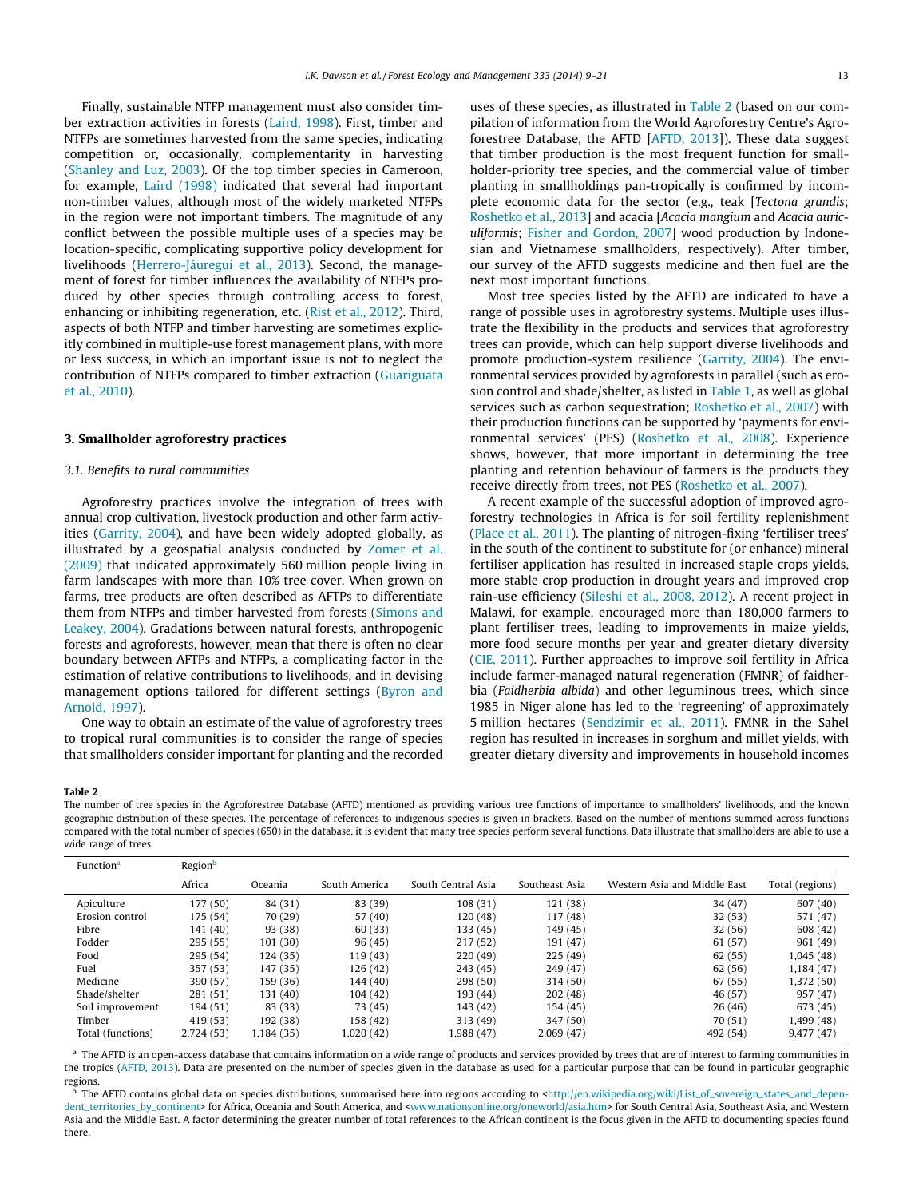<span id="page-4-0"></span>Finally, sustainable NTFP management must also consider timber extraction activities in forests [\(Laird, 1998](#page-11-0)). First, timber and NTFPs are sometimes harvested from the same species, indicating competition or, occasionally, complementarity in harvesting ([Shanley and Luz, 2003\)](#page-12-0). Of the top timber species in Cameroon, for example, [Laird \(1998\)](#page-11-0) indicated that several had important non-timber values, although most of the widely marketed NTFPs in the region were not important timbers. The magnitude of any conflict between the possible multiple uses of a species may be location-specific, complicating supportive policy development for livelihoods ([Herrero-Jáuregui et al., 2013\)](#page-11-0). Second, the management of forest for timber influences the availability of NTFPs produced by other species through controlling access to forest, enhancing or inhibiting regeneration, etc. [\(Rist et al., 2012](#page-12-0)). Third, aspects of both NTFP and timber harvesting are sometimes explicitly combined in multiple-use forest management plans, with more or less success, in which an important issue is not to neglect the contribution of NTFPs compared to timber extraction ([Guariguata](#page-11-0) [et al., 2010\)](#page-11-0).

### 3. Smallholder agroforestry practices

### 3.1. Benefits to rural communities

Agroforestry practices involve the integration of trees with annual crop cultivation, livestock production and other farm activities [\(Garrity, 2004](#page-11-0)), and have been widely adopted globally, as illustrated by a geospatial analysis conducted by [Zomer et al.](#page-12-0) [\(2009\)](#page-12-0) that indicated approximately 560 million people living in farm landscapes with more than 10% tree cover. When grown on farms, tree products are often described as AFTPs to differentiate them from NTFPs and timber harvested from forests [\(Simons and](#page-12-0) [Leakey, 2004\)](#page-12-0). Gradations between natural forests, anthropogenic forests and agroforests, however, mean that there is often no clear boundary between AFTPs and NTFPs, a complicating factor in the estimation of relative contributions to livelihoods, and in devising management options tailored for different settings ([Byron and](#page-10-0) [Arnold, 1997\)](#page-10-0).

One way to obtain an estimate of the value of agroforestry trees to tropical rural communities is to consider the range of species that smallholders consider important for planting and the recorded uses of these species, as illustrated in Table 2 (based on our compilation of information from the World Agroforestry Centre's Agroforestree Database, the AFTD [[AFTD, 2013\]](#page-10-0)). These data suggest that timber production is the most frequent function for smallholder-priority tree species, and the commercial value of timber planting in smallholdings pan-tropically is confirmed by incomplete economic data for the sector (e.g., teak [Tectona grandis; [Roshetko et al., 2013](#page-12-0)] and acacia [Acacia mangium and Acacia auriculiformis; [Fisher and Gordon, 2007](#page-10-0)] wood production by Indonesian and Vietnamese smallholders, respectively). After timber, our survey of the AFTD suggests medicine and then fuel are the next most important functions.

Most tree species listed by the AFTD are indicated to have a range of possible uses in agroforestry systems. Multiple uses illustrate the flexibility in the products and services that agroforestry trees can provide, which can help support diverse livelihoods and promote production-system resilience ([Garrity, 2004\)](#page-11-0). The environmental services provided by agroforests in parallel (such as erosion control and shade/shelter, as listed in [Table 1,](#page-2-0) as well as global services such as carbon sequestration; [Roshetko et al., 2007](#page-12-0)) with their production functions can be supported by 'payments for environmental services' (PES) [\(Roshetko et al., 2008\)](#page-12-0). Experience shows, however, that more important in determining the tree planting and retention behaviour of farmers is the products they receive directly from trees, not PES ([Roshetko et al., 2007](#page-12-0)).

A recent example of the successful adoption of improved agroforestry technologies in Africa is for soil fertility replenishment ([Place et al., 2011\)](#page-12-0). The planting of nitrogen-fixing 'fertiliser trees' in the south of the continent to substitute for (or enhance) mineral fertiliser application has resulted in increased staple crops yields, more stable crop production in drought years and improved crop rain-use efficiency ([Sileshi et al., 2008, 2012](#page-12-0)). A recent project in Malawi, for example, encouraged more than 180,000 farmers to plant fertiliser trees, leading to improvements in maize yields, more food secure months per year and greater dietary diversity ([CIE, 2011\)](#page-10-0). Further approaches to improve soil fertility in Africa include farmer-managed natural regeneration (FMNR) of faidherbia (Faidherbia albida) and other leguminous trees, which since 1985 in Niger alone has led to the 'regreening' of approximately 5 million hectares ([Sendzimir et al., 2011](#page-12-0)). FMNR in the Sahel region has resulted in increases in sorghum and millet yields, with greater dietary diversity and improvements in household incomes

#### Table 2

The number of tree species in the Agroforestree Database (AFTD) mentioned as providing various tree functions of importance to smallholders' livelihoods, and the known geographic distribution of these species. The percentage of references to indigenous species is given in brackets. Based on the number of mentions summed across functions compared with the total number of species (650) in the database, it is evident that many tree species perform several functions. Data illustrate that smallholders are able to use a wide range of trees.

| Function <sup>a</sup> | Region <sup>b</sup> |            |               |                    |                |                              |                 |
|-----------------------|---------------------|------------|---------------|--------------------|----------------|------------------------------|-----------------|
|                       | Africa              | Oceania    | South America | South Central Asia | Southeast Asia | Western Asia and Middle East | Total (regions) |
| Apiculture            | 177 (50)            | 84 (31)    | 83 (39)       | 108 (31)           | 121 (38)       | 34 (47)                      | 607 (40)        |
| Erosion control       | 175 (54)            | 70 (29)    | 57 (40)       | 120(48)            | 117 (48)       | 32(53)                       | 571 (47)        |
| Fibre                 | 141 (40)            | 93 (38)    | 60(33)        | 133 (45)           | 149 (45)       | 32(56)                       | 608 (42)        |
| Fodder                | 295(55)             | 101(30)    | 96(45)        | 217 (52)           | 191 (47)       | 61 (57)                      | 961 (49)        |
| Food                  | 295 (54)            | 124(35)    | 119 (43)      | 220(49)            | 225(49)        | 62(55)                       | 1,045 (48)      |
| Fuel                  | 357 (53)            | 147 (35)   | 126(42)       | 243(45)            | 249 (47)       | 62(56)                       | 1,184 (47)      |
| Medicine              | 390 (57)            | 159 (36)   | 144 (40)      | 298 (50)           | 314 (50)       | 67(55)                       | 1,372 (50)      |
| Shade/shelter         | 281 (51)            | 131 (40)   | 104 (42)      | 193 (44)           | 202(48)        | 46 (57)                      | 957 (47)        |
| Soil improvement      | 194 (51)            | 83 (33)    | 73 (45)       | 143 (42)           | 154 (45)       | 26(46)                       | 673 (45)        |
| Timber                | 419 (53)            | 192 (38)   | 158 (42)      | 313 (49)           | 347 (50)       | 70(51)                       | 1,499 (48)      |
| Total (functions)     | 2,724(53)           | 1,184 (35) | 1,020 (42)    | 1,988 (47)         | 2,069(47)      | 492 (54)                     | 9,477(47)       |

The AFTD is an open-access database that contains information on a wide range of products and services provided by trees that are of interest to farming communities in the tropics [\(AFTD, 2013](#page-10-0)). Data are presented on the number of species given in the database as used for a particular purpose that can be found in particular geographic regions.

The AFTD contains global data on species distributions, summarised here into regions according to <[http://en.wikipedia.org/wiki/List\\_of\\_sovereign\\_states\\_and\\_depen-](http://en.wikipedia.org/wiki/List_of_sovereign_states_and_dependent_territories_by_continent)dent territories by continent> for Africa, Oceania and South America, and [<www.nationsonline.org/oneworld/asia.htm](http://www.nationsonline.org/oneworld/asia.htm)> for South Central Asia, Southeast Asia, and Western Asia and the Middle East. A factor determining the greater number of total references to the African continent is the focus given in the AFTD to documenting species found there.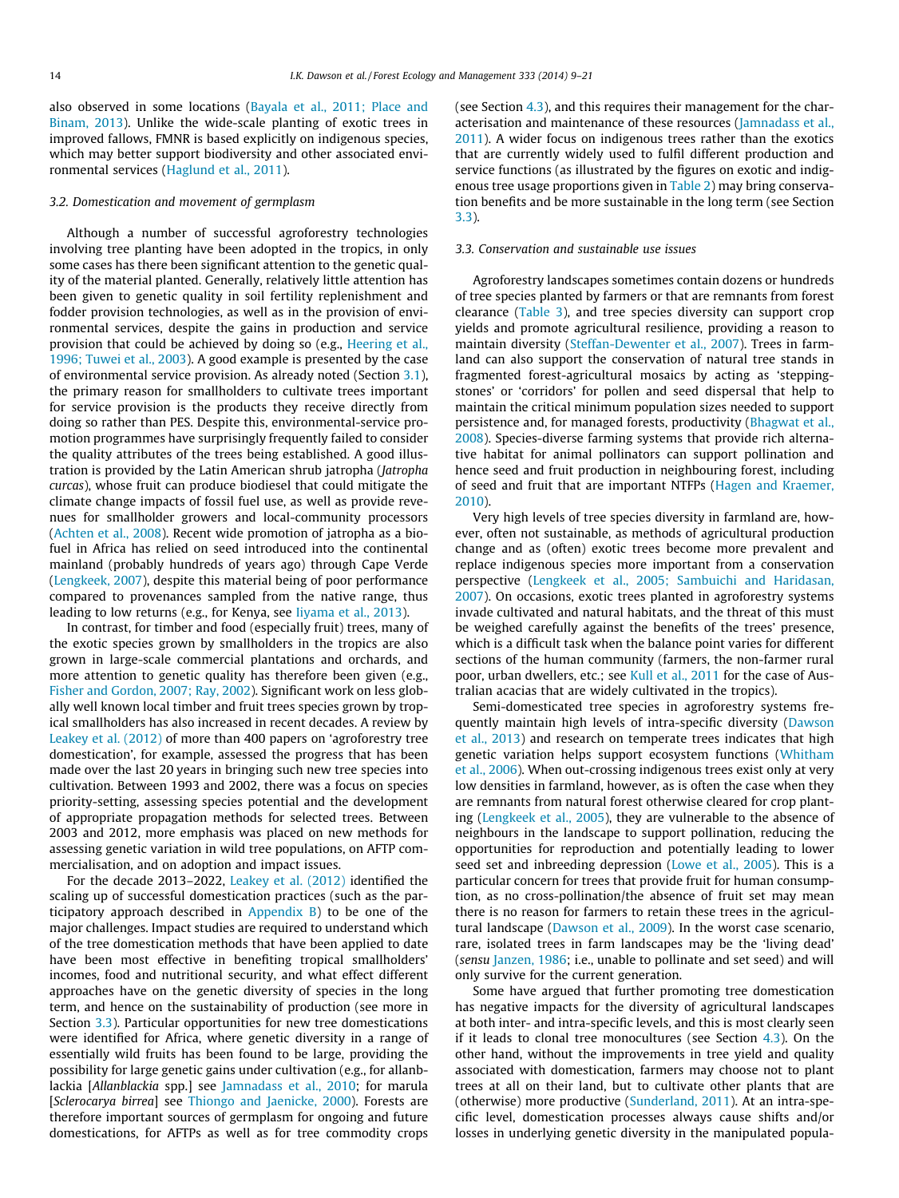<span id="page-5-0"></span>also observed in some locations [\(Bayala et al., 2011; Place and](#page-10-0) [Binam, 2013\)](#page-10-0). Unlike the wide-scale planting of exotic trees in improved fallows, FMNR is based explicitly on indigenous species, which may better support biodiversity and other associated environmental services [\(Haglund et al., 2011](#page-11-0)).

#### 3.2. Domestication and movement of germplasm

Although a number of successful agroforestry technologies involving tree planting have been adopted in the tropics, in only some cases has there been significant attention to the genetic quality of the material planted. Generally, relatively little attention has been given to genetic quality in soil fertility replenishment and fodder provision technologies, as well as in the provision of environmental services, despite the gains in production and service provision that could be achieved by doing so (e.g., [Heering et al.,](#page-11-0) [1996; Tuwei et al., 2003\)](#page-11-0). A good example is presented by the case of environmental service provision. As already noted (Section [3.1\)](#page-4-0), the primary reason for smallholders to cultivate trees important for service provision is the products they receive directly from doing so rather than PES. Despite this, environmental-service promotion programmes have surprisingly frequently failed to consider the quality attributes of the trees being established. A good illustration is provided by the Latin American shrub jatropha (Jatropha curcas), whose fruit can produce biodiesel that could mitigate the climate change impacts of fossil fuel use, as well as provide revenues for smallholder growers and local-community processors ([Achten et al., 2008](#page-10-0)). Recent wide promotion of jatropha as a biofuel in Africa has relied on seed introduced into the continental mainland (probably hundreds of years ago) through Cape Verde ([Lengkeek, 2007](#page-11-0)), despite this material being of poor performance compared to provenances sampled from the native range, thus leading to low returns (e.g., for Kenya, see [Iiyama et al., 2013\)](#page-11-0).

In contrast, for timber and food (especially fruit) trees, many of the exotic species grown by smallholders in the tropics are also grown in large-scale commercial plantations and orchards, and more attention to genetic quality has therefore been given (e.g., [Fisher and Gordon, 2007; Ray, 2002](#page-10-0)). Significant work on less globally well known local timber and fruit trees species grown by tropical smallholders has also increased in recent decades. A review by [Leakey et al. \(2012\)](#page-11-0) of more than 400 papers on 'agroforestry tree domestication', for example, assessed the progress that has been made over the last 20 years in bringing such new tree species into cultivation. Between 1993 and 2002, there was a focus on species priority-setting, assessing species potential and the development of appropriate propagation methods for selected trees. Between 2003 and 2012, more emphasis was placed on new methods for assessing genetic variation in wild tree populations, on AFTP commercialisation, and on adoption and impact issues.

For the decade 2013–2022, [Leakey et al. \(2012\)](#page-11-0) identified the scaling up of successful domestication practices (such as the participatory approach described in [Appendix B\)](#page-9-0) to be one of the major challenges. Impact studies are required to understand which of the tree domestication methods that have been applied to date have been most effective in benefiting tropical smallholders' incomes, food and nutritional security, and what effect different approaches have on the genetic diversity of species in the long term, and hence on the sustainability of production (see more in Section 3.3). Particular opportunities for new tree domestications were identified for Africa, where genetic diversity in a range of essentially wild fruits has been found to be large, providing the possibility for large genetic gains under cultivation (e.g., for allanblackia [Allanblackia spp.] see [Jamnadass et al., 2010;](#page-11-0) for marula [Sclerocarya birrea] see [Thiongo and Jaenicke, 2000\)](#page-12-0). Forests are therefore important sources of germplasm for ongoing and future domestications, for AFTPs as well as for tree commodity crops (see Section [4.3](#page-7-0)), and this requires their management for the characterisation and maintenance of these resources ([Jamnadass et al.,](#page-11-0) [2011\)](#page-11-0). A wider focus on indigenous trees rather than the exotics that are currently widely used to fulfil different production and service functions (as illustrated by the figures on exotic and indigenous tree usage proportions given in [Table 2](#page-4-0)) may bring conservation benefits and be more sustainable in the long term (see Section 3.3).

#### 3.3. Conservation and sustainable use issues

Agroforestry landscapes sometimes contain dozens or hundreds of tree species planted by farmers or that are remnants from forest clearance [\(Table 3](#page-6-0)), and tree species diversity can support crop yields and promote agricultural resilience, providing a reason to maintain diversity ([Steffan-Dewenter et al., 2007](#page-12-0)). Trees in farmland can also support the conservation of natural tree stands in fragmented forest-agricultural mosaics by acting as 'steppingstones' or 'corridors' for pollen and seed dispersal that help to maintain the critical minimum population sizes needed to support persistence and, for managed forests, productivity [\(Bhagwat et al.,](#page-10-0) [2008\)](#page-10-0). Species-diverse farming systems that provide rich alternative habitat for animal pollinators can support pollination and hence seed and fruit production in neighbouring forest, including of seed and fruit that are important NTFPs [\(Hagen and Kraemer,](#page-11-0) [2010\)](#page-11-0).

Very high levels of tree species diversity in farmland are, however, often not sustainable, as methods of agricultural production change and as (often) exotic trees become more prevalent and replace indigenous species more important from a conservation perspective [\(Lengkeek et al., 2005; Sambuichi and Haridasan,](#page-11-0) [2007\)](#page-11-0). On occasions, exotic trees planted in agroforestry systems invade cultivated and natural habitats, and the threat of this must be weighed carefully against the benefits of the trees' presence, which is a difficult task when the balance point varies for different sections of the human community (farmers, the non-farmer rural poor, urban dwellers, etc.; see [Kull et al., 2011](#page-11-0) for the case of Australian acacias that are widely cultivated in the tropics).

Semi-domesticated tree species in agroforestry systems frequently maintain high levels of intra-specific diversity [\(Dawson](#page-10-0) [et al., 2013](#page-10-0)) and research on temperate trees indicates that high genetic variation helps support ecosystem functions ([Whitham](#page-12-0) [et al., 2006\)](#page-12-0). When out-crossing indigenous trees exist only at very low densities in farmland, however, as is often the case when they are remnants from natural forest otherwise cleared for crop planting ([Lengkeek et al., 2005\)](#page-11-0), they are vulnerable to the absence of neighbours in the landscape to support pollination, reducing the opportunities for reproduction and potentially leading to lower seed set and inbreeding depression [\(Lowe et al., 2005\)](#page-11-0). This is a particular concern for trees that provide fruit for human consumption, as no cross-pollination/the absence of fruit set may mean there is no reason for farmers to retain these trees in the agricultural landscape [\(Dawson et al., 2009](#page-10-0)). In the worst case scenario, rare, isolated trees in farm landscapes may be the 'living dead' (sensu [Janzen, 1986](#page-11-0); i.e., unable to pollinate and set seed) and will only survive for the current generation.

Some have argued that further promoting tree domestication has negative impacts for the diversity of agricultural landscapes at both inter- and intra-specific levels, and this is most clearly seen if it leads to clonal tree monocultures (see Section  $4.3$ ). On the other hand, without the improvements in tree yield and quality associated with domestication, farmers may choose not to plant trees at all on their land, but to cultivate other plants that are (otherwise) more productive [\(Sunderland, 2011](#page-12-0)). At an intra-specific level, domestication processes always cause shifts and/or losses in underlying genetic diversity in the manipulated popula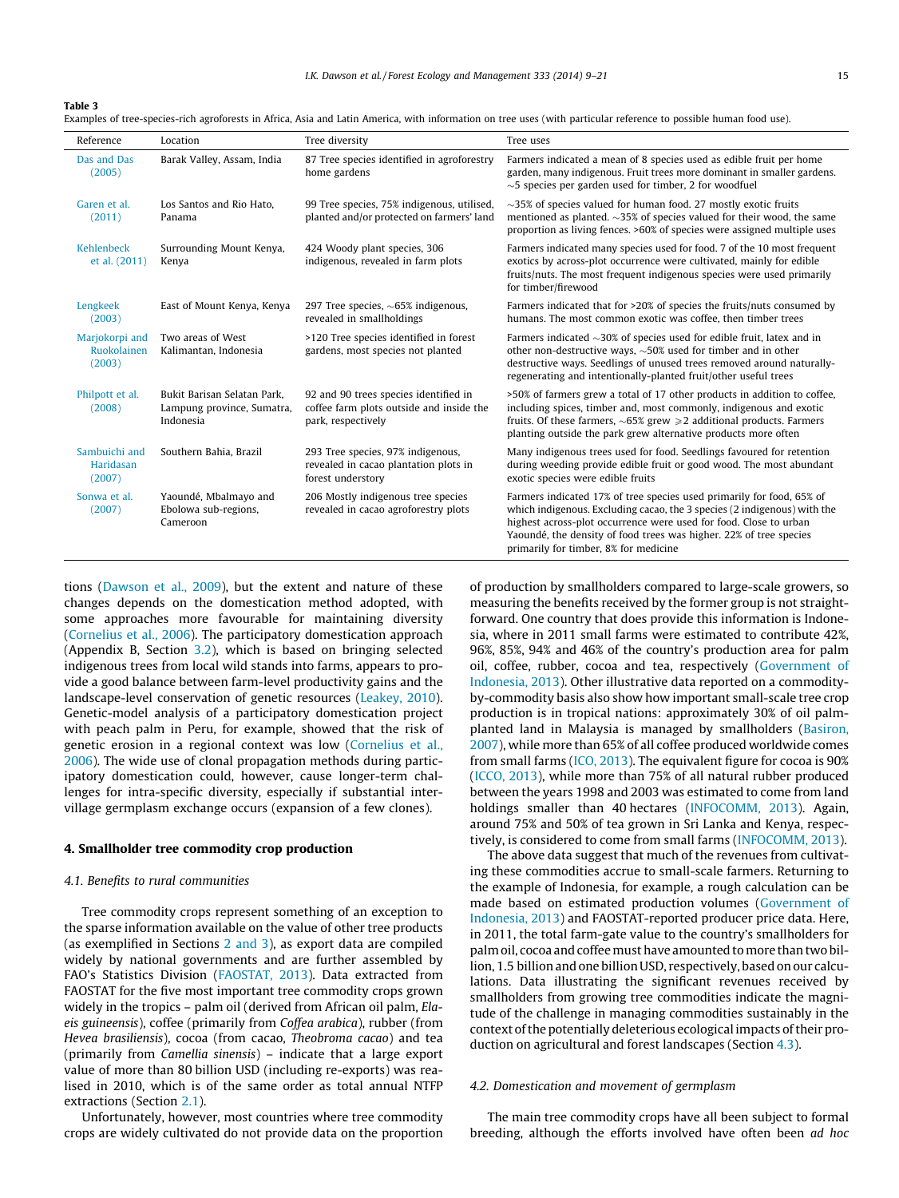<span id="page-6-0"></span>Table 3

Examples of tree-species-rich agroforests in Africa, Asia and Latin America, with information on tree uses (with particular reference to possible human food use).

| Reference                               | Location                                                               | Tree diversity                                                                                          | Tree uses                                                                                                                                                                                                                                                                                                                             |
|-----------------------------------------|------------------------------------------------------------------------|---------------------------------------------------------------------------------------------------------|---------------------------------------------------------------------------------------------------------------------------------------------------------------------------------------------------------------------------------------------------------------------------------------------------------------------------------------|
| Das and Das<br>(2005)                   | Barak Valley, Assam, India                                             | 87 Tree species identified in agroforestry<br>home gardens                                              | Farmers indicated a mean of 8 species used as edible fruit per home<br>garden, many indigenous. Fruit trees more dominant in smaller gardens.<br>$\sim$ 5 species per garden used for timber, 2 for woodfuel                                                                                                                          |
| Garen et al.<br>(2011)                  | Los Santos and Rio Hato.<br>Panama                                     | 99 Tree species, 75% indigenous, utilised,<br>planted and/or protected on farmers' land                 | $\sim$ 35% of species valued for human food. 27 mostly exotic fruits<br>mentioned as planted. $\sim$ 35% of species valued for their wood, the same<br>proportion as living fences. >60% of species were assigned multiple uses                                                                                                       |
| Kehlenbeck<br>et al. (2011)             | Surrounding Mount Kenya,<br>Kenya                                      | 424 Woody plant species, 306<br>indigenous, revealed in farm plots                                      | Farmers indicated many species used for food, 7 of the 10 most frequent<br>exotics by across-plot occurrence were cultivated, mainly for edible<br>fruits/nuts. The most frequent indigenous species were used primarily<br>for timber/firewood                                                                                       |
| Lengkeek<br>(2003)                      | East of Mount Kenya, Kenya                                             | 297 Tree species, $\sim65\%$ indigenous,<br>revealed in smallholdings                                   | Farmers indicated that for >20% of species the fruits/nuts consumed by<br>humans. The most common exotic was coffee, then timber trees                                                                                                                                                                                                |
| Marjokorpi and<br>Ruokolainen<br>(2003) | Two areas of West<br>Kalimantan, Indonesia                             | >120 Tree species identified in forest<br>gardens, most species not planted                             | Farmers indicated $\sim$ 30% of species used for edible fruit, latex and in<br>other non-destructive ways, $\sim$ 50% used for timber and in other<br>destructive ways. Seedlings of unused trees removed around naturally-<br>regenerating and intentionally-planted fruit/other useful trees                                        |
| Philpott et al.<br>(2008)               | Bukit Barisan Selatan Park,<br>Lampung province, Sumatra,<br>Indonesia | 92 and 90 trees species identified in<br>coffee farm plots outside and inside the<br>park, respectively | >50% of farmers grew a total of 17 other products in addition to coffee,<br>including spices, timber and, most commonly, indigenous and exotic<br>fruits. Of these farmers, $\sim$ 65% grew $\geq$ additional products. Farmers<br>planting outside the park grew alternative products more often                                     |
| Sambuichi and<br>Haridasan<br>(2007)    | Southern Bahia, Brazil                                                 | 293 Tree species, 97% indigenous,<br>revealed in cacao plantation plots in<br>forest understory         | Many indigenous trees used for food. Seedlings favoured for retention<br>during weeding provide edible fruit or good wood. The most abundant<br>exotic species were edible fruits                                                                                                                                                     |
| Sonwa et al.<br>(2007)                  | Yaoundé, Mbalmayo and<br>Ebolowa sub-regions,<br>Cameroon              | 206 Mostly indigenous tree species<br>revealed in cacao agroforestry plots                              | Farmers indicated 17% of tree species used primarily for food, 65% of<br>which indigenous. Excluding cacao, the 3 species (2 indigenous) with the<br>highest across-plot occurrence were used for food. Close to urban<br>Yaoundé, the density of food trees was higher. 22% of tree species<br>primarily for timber, 8% for medicine |

tions [\(Dawson et al., 2009\)](#page-10-0), but the extent and nature of these changes depends on the domestication method adopted, with some approaches more favourable for maintaining diversity ([Cornelius et al., 2006](#page-10-0)). The participatory domestication approach (Appendix B, Section [3.2](#page-5-0)), which is based on bringing selected indigenous trees from local wild stands into farms, appears to provide a good balance between farm-level productivity gains and the landscape-level conservation of genetic resources ([Leakey, 2010\)](#page-11-0). Genetic-model analysis of a participatory domestication project with peach palm in Peru, for example, showed that the risk of genetic erosion in a regional context was low [\(Cornelius et al.,](#page-10-0) [2006](#page-10-0)). The wide use of clonal propagation methods during participatory domestication could, however, cause longer-term challenges for intra-specific diversity, especially if substantial intervillage germplasm exchange occurs (expansion of a few clones).

#### 4. Smallholder tree commodity crop production

#### 4.1. Benefits to rural communities

Tree commodity crops represent something of an exception to the sparse information available on the value of other tree products (as exemplified in Sections [2 and 3](#page-1-0)), as export data are compiled widely by national governments and are further assembled by FAO's Statistics Division ([FAOSTAT, 2013](#page-10-0)). Data extracted from FAOSTAT for the five most important tree commodity crops grown widely in the tropics – palm oil (derived from African oil palm, Elaeis guineensis), coffee (primarily from Coffea arabica), rubber (from Hevea brasiliensis), cocoa (from cacao, Theobroma cacao) and tea (primarily from Camellia sinensis) – indicate that a large export value of more than 80 billion USD (including re-exports) was realised in 2010, which is of the same order as total annual NTFP extractions (Section [2.1\)](#page-1-0).

Unfortunately, however, most countries where tree commodity crops are widely cultivated do not provide data on the proportion of production by smallholders compared to large-scale growers, so measuring the benefits received by the former group is not straightforward. One country that does provide this information is Indonesia, where in 2011 small farms were estimated to contribute 42%, 96%, 85%, 94% and 46% of the country's production area for palm oil, coffee, rubber, cocoa and tea, respectively ([Government of](#page-11-0) [Indonesia, 2013\)](#page-11-0). Other illustrative data reported on a commodityby-commodity basis also show how important small-scale tree crop production is in tropical nations: approximately 30% of oil palmplanted land in Malaysia is managed by smallholders ([Basiron,](#page-10-0) [2007](#page-10-0)), while more than 65% of all coffee produced worldwide comes from small farms [\(ICO, 2013](#page-11-0)). The equivalent figure for cocoa is 90% ([ICCO, 2013](#page-11-0)), while more than 75% of all natural rubber produced between the years 1998 and 2003 was estimated to come from land holdings smaller than 40 hectares ([INFOCOMM, 2013\)](#page-11-0). Again, around 75% and 50% of tea grown in Sri Lanka and Kenya, respectively, is considered to come from small farms ([INFOCOMM, 2013](#page-11-0)).

The above data suggest that much of the revenues from cultivating these commodities accrue to small-scale farmers. Returning to the example of Indonesia, for example, a rough calculation can be made based on estimated production volumes ([Government of](#page-11-0) [Indonesia, 2013](#page-11-0)) and FAOSTAT-reported producer price data. Here, in 2011, the total farm-gate value to the country's smallholders for palm oil, cocoa and coffeemust have amounted tomore than two billion, 1.5 billion and one billion USD, respectively, based on our calculations. Data illustrating the significant revenues received by smallholders from growing tree commodities indicate the magnitude of the challenge in managing commodities sustainably in the context of the potentially deleterious ecological impacts of their production on agricultural and forest landscapes (Section [4.3](#page-7-0)).

#### 4.2. Domestication and movement of germplasm

The main tree commodity crops have all been subject to formal breeding, although the efforts involved have often been ad hoc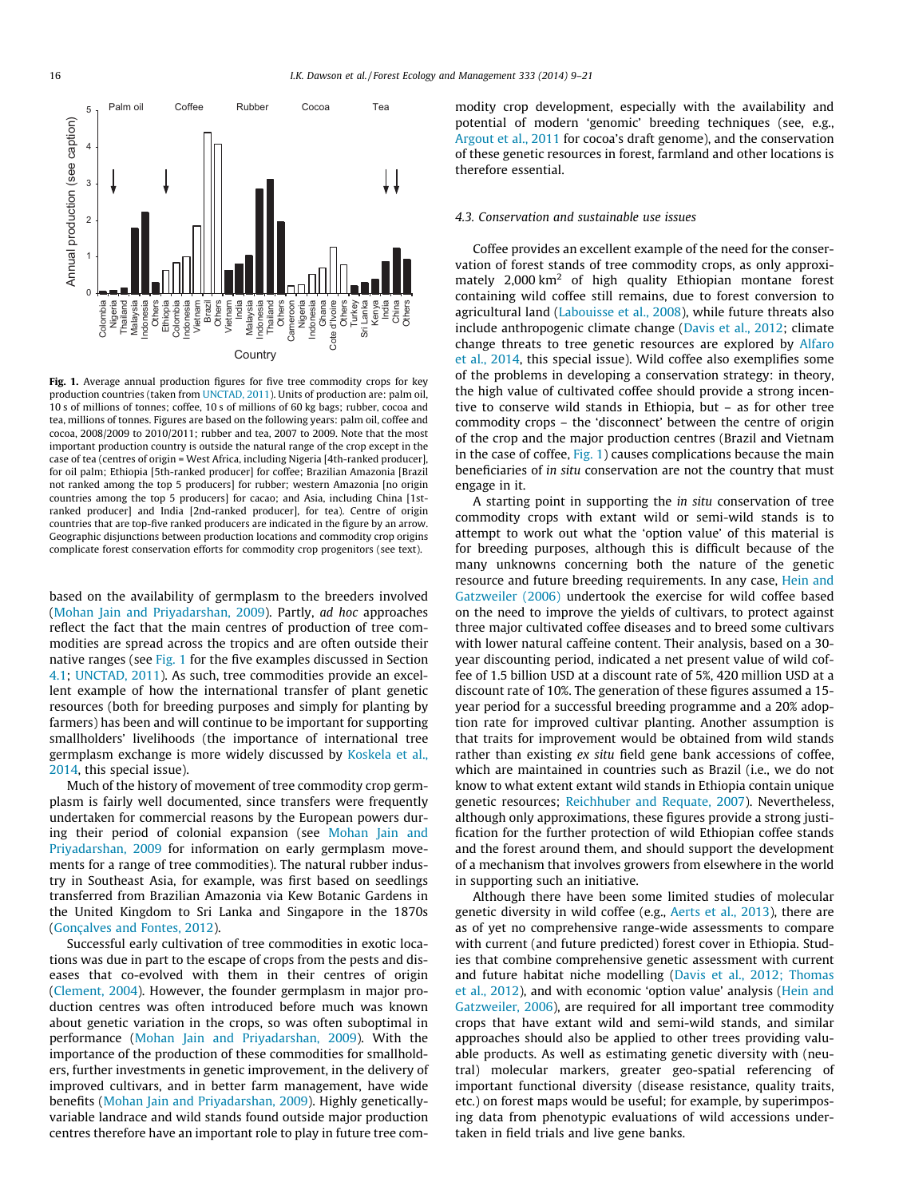<span id="page-7-0"></span>

Fig. 1. Average annual production figures for five tree commodity crops for key production countries (taken from [UNCTAD, 2011\)](#page-12-0). Units of production are: palm oil, 10 s of millions of tonnes; coffee, 10 s of millions of 60 kg bags; rubber, cocoa and tea, millions of tonnes. Figures are based on the following years: palm oil, coffee and cocoa, 2008/2009 to 2010/2011; rubber and tea, 2007 to 2009. Note that the most important production country is outside the natural range of the crop except in the case of tea (centres of origin = West Africa, including Nigeria [4th-ranked producer], for oil palm; Ethiopia [5th-ranked producer] for coffee; Brazilian Amazonia [Brazil not ranked among the top 5 producers] for rubber; western Amazonia [no origin countries among the top 5 producers] for cacao; and Asia, including China [1stranked producer] and India [2nd-ranked producer], for tea). Centre of origin countries that are top-five ranked producers are indicated in the figure by an arrow. Geographic disjunctions between production locations and commodity crop origins complicate forest conservation efforts for commodity crop progenitors (see text).

based on the availability of germplasm to the breeders involved ([Mohan Jain and Priyadarshan, 2009](#page-11-0)). Partly, ad hoc approaches reflect the fact that the main centres of production of tree commodities are spread across the tropics and are often outside their native ranges (see Fig. 1 for the five examples discussed in Section [4.1](#page-6-0); [UNCTAD, 2011](#page-12-0)). As such, tree commodities provide an excellent example of how the international transfer of plant genetic resources (both for breeding purposes and simply for planting by farmers) has been and will continue to be important for supporting smallholders' livelihoods (the importance of international tree germplasm exchange is more widely discussed by [Koskela et al.,](#page-11-0) [2014,](#page-11-0) this special issue).

Much of the history of movement of tree commodity crop germplasm is fairly well documented, since transfers were frequently undertaken for commercial reasons by the European powers during their period of colonial expansion (see [Mohan Jain and](#page-11-0) [Priyadarshan, 2009](#page-11-0) for information on early germplasm movements for a range of tree commodities). The natural rubber industry in Southeast Asia, for example, was first based on seedlings transferred from Brazilian Amazonia via Kew Botanic Gardens in the United Kingdom to Sri Lanka and Singapore in the 1870s ([Gonçalves and Fontes, 2012\)](#page-11-0).

Successful early cultivation of tree commodities in exotic locations was due in part to the escape of crops from the pests and diseases that co-evolved with them in their centres of origin ([Clement, 2004](#page-10-0)). However, the founder germplasm in major production centres was often introduced before much was known about genetic variation in the crops, so was often suboptimal in performance [\(Mohan Jain and Priyadarshan, 2009](#page-11-0)). With the importance of the production of these commodities for smallholders, further investments in genetic improvement, in the delivery of improved cultivars, and in better farm management, have wide benefits ([Mohan Jain and Priyadarshan, 2009](#page-11-0)). Highly geneticallyvariable landrace and wild stands found outside major production centres therefore have an important role to play in future tree commodity crop development, especially with the availability and potential of modern 'genomic' breeding techniques (see, e.g., [Argout et al., 2011](#page-10-0) for cocoa's draft genome), and the conservation of these genetic resources in forest, farmland and other locations is therefore essential.

#### 4.3. Conservation and sustainable use issues

Coffee provides an excellent example of the need for the conservation of forest stands of tree commodity crops, as only approximately  $2,000 \text{ km}^2$  of high quality Ethiopian montane forest containing wild coffee still remains, due to forest conversion to agricultural land [\(Labouisse et al., 2008\)](#page-11-0), while future threats also include anthropogenic climate change [\(Davis et al., 2012](#page-10-0); climate change threats to tree genetic resources are explored by [Alfaro](#page-10-0) [et al., 2014](#page-10-0), this special issue). Wild coffee also exemplifies some of the problems in developing a conservation strategy: in theory, the high value of cultivated coffee should provide a strong incentive to conserve wild stands in Ethiopia, but – as for other tree commodity crops – the 'disconnect' between the centre of origin of the crop and the major production centres (Brazil and Vietnam in the case of coffee,  $Fig. 1$ ) causes complications because the main beneficiaries of in situ conservation are not the country that must engage in it.

A starting point in supporting the in situ conservation of tree commodity crops with extant wild or semi-wild stands is to attempt to work out what the 'option value' of this material is for breeding purposes, although this is difficult because of the many unknowns concerning both the nature of the genetic resource and future breeding requirements. In any case, [Hein and](#page-11-0) [Gatzweiler \(2006\)](#page-11-0) undertook the exercise for wild coffee based on the need to improve the yields of cultivars, to protect against three major cultivated coffee diseases and to breed some cultivars with lower natural caffeine content. Their analysis, based on a 30 year discounting period, indicated a net present value of wild coffee of 1.5 billion USD at a discount rate of 5%, 420 million USD at a discount rate of 10%. The generation of these figures assumed a 15 year period for a successful breeding programme and a 20% adoption rate for improved cultivar planting. Another assumption is that traits for improvement would be obtained from wild stands rather than existing ex situ field gene bank accessions of coffee, which are maintained in countries such as Brazil (i.e., we do not know to what extent extant wild stands in Ethiopia contain unique genetic resources; [Reichhuber and Requate, 2007\)](#page-12-0). Nevertheless, although only approximations, these figures provide a strong justification for the further protection of wild Ethiopian coffee stands and the forest around them, and should support the development of a mechanism that involves growers from elsewhere in the world in supporting such an initiative.

Although there have been some limited studies of molecular genetic diversity in wild coffee (e.g., [Aerts et al., 2013](#page-10-0)), there are as of yet no comprehensive range-wide assessments to compare with current (and future predicted) forest cover in Ethiopia. Studies that combine comprehensive genetic assessment with current and future habitat niche modelling [\(Davis et al., 2012; Thomas](#page-10-0) [et al., 2012](#page-10-0)), and with economic 'option value' analysis [\(Hein and](#page-11-0) [Gatzweiler, 2006](#page-11-0)), are required for all important tree commodity crops that have extant wild and semi-wild stands, and similar approaches should also be applied to other trees providing valuable products. As well as estimating genetic diversity with (neutral) molecular markers, greater geo-spatial referencing of important functional diversity (disease resistance, quality traits, etc.) on forest maps would be useful; for example, by superimposing data from phenotypic evaluations of wild accessions undertaken in field trials and live gene banks.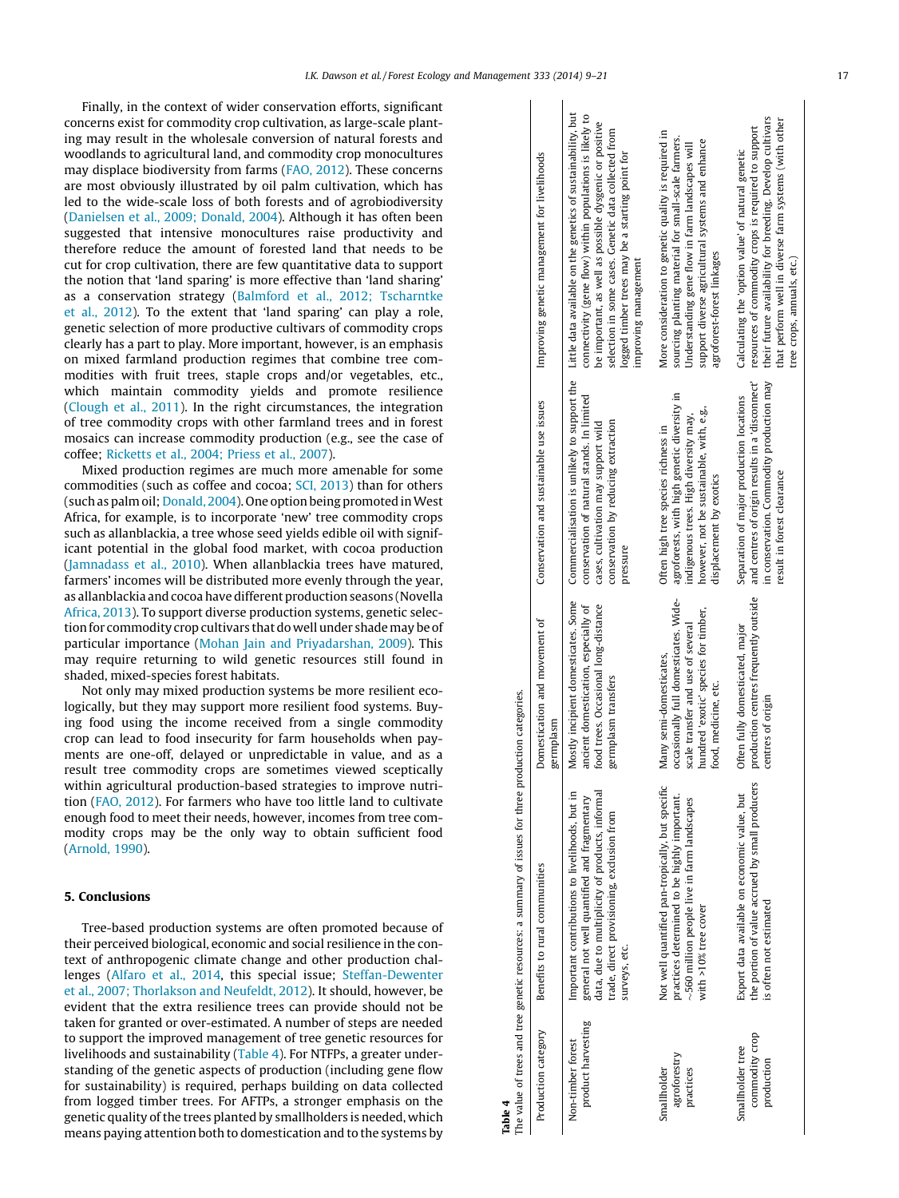Finally, in the context of wider conservation efforts, significant concerns exist for commodity crop cultivation, as large-scale planting may result in the wholesale conversion of natural forests and woodlands to agricultural land, and commodity crop monocultures may displace biodiversity from farms ([FAO, 2012](#page-10-0)). These concerns are most obviously illustrated by oil palm cultivation, which has led to the wide-scale loss of both forests and of agrobiodiversity ([Danielsen et al., 2009; Donald, 2004\)](#page-10-0). Although it has often been suggested that intensive monocultures raise productivity and therefore reduce the amount of forested land that needs to be cut for crop cultivation, there are few quantitative data to support the notion that 'land sparing' is more effective than 'land sharing' as a conservation strategy [\(Balmford et al., 2012; Tscharntke](#page-10-0) [et al., 2012\)](#page-10-0). To the extent that 'land sparing' can play a role, genetic selection of more productive cultivars of commodity crops clearly has a part to play. More important, however, is an emphasis on mixed farmland production regimes that combine tree commodities with fruit trees, staple crops and/or vegetables, etc., which maintain commodity yields and promote resilience ([Clough et al., 2011](#page-10-0)). In the right circumstances, the integration of tree commodity crops with other farmland trees and in forest mosaics can increase commodity production (e.g., see the case of coffee; [Ricketts et al., 2004; Priess et al., 2007](#page-12-0)).

Mixed production regimes are much more amenable for some commodities (such as coffee and cocoa; [SCI, 2013](#page-12-0)) than for others (such as palm oil; [Donald, 2004\)](#page-10-0). One option being promoted inWest Africa, for example, is to incorporate 'new' tree commodity crops such as allanblackia, a tree whose seed yields edible oil with significant potential in the global food market, with cocoa production ([Jamnadass et al., 2010\)](#page-11-0). When allanblackia trees have matured, farmers' incomes will be distributed more evenly through the year, as allanblackia and cocoa have different production seasons (Novella [Africa, 2013](#page-11-0)). To support diverse production systems, genetic selection for commodity crop cultivars that do well under shademay be of particular importance [\(Mohan Jain and Priyadarshan, 2009\)](#page-11-0). This may require returning to wild genetic resources still found in shaded, mixed-species forest habitats.

Not only may mixed production systems be more resilient ecologically, but they may support more resilient food systems. Buying food using the income received from a single commodity crop can lead to food insecurity for farm households when payments are one-off, delayed or unpredictable in value, and as a result tree commodity crops are sometimes viewed sceptically within agricultural production-based strategies to improve nutrition [\(FAO, 2012](#page-10-0)). For farmers who have too little land to cultivate enough food to meet their needs, however, incomes from tree commodity crops may be the only way to obtain sufficient food ([Arnold, 1990\)](#page-10-0).

#### 5. Conclusions

Tree-based production systems are often promoted because of their perceived biological, economic and social resilience in the context of anthropogenic climate change and other production challenges ([Alfaro et al., 2014](#page-10-0), this special issue; [Steffan-Dewenter](#page-12-0) [et al., 2007; Thorlakson and Neufeldt, 2012\)](#page-12-0). It should, however, be evident that the extra resilience trees can provide should not be taken for granted or over-estimated. A number of steps are needed to support the improved management of tree genetic resources for livelihoods and sustainability (Table 4). For NTFPs, a greater understanding of the genetic aspects of production (including gene flow for sustainability) is required, perhaps building on data collected from logged timber trees. For AFTPs, a stronger emphasis on the genetic quality of the trees planted by smallholders is needed, which means paying attention both to domestication and to the systems by

|                                                                                                     | Improving genetic management for livelihoods | Little data available on the genetics of sustainability, but<br>connectivity (gene flow) within populations is likely to<br>be important, as well as possible dysgenic or positive<br>selection in some cases. Genetic data collected from<br>logged timber trees may be a starting point for<br>improving management | More consideration to genetic quality is required in<br>sourcing planting material for small-scale farmers.<br>support diverse agricultural systems and enhance<br>Understanding gene flow in farm landscapes will<br>agroforest-forest linkages | their future availability for breeding. Develop cultivars<br>that perform well in diverse farm systems (with other<br>resources of commodity crops is required to support<br>Calculating the 'option value' of natural genetic<br>tree crops, annuals, etc.) |
|-----------------------------------------------------------------------------------------------------|----------------------------------------------|-----------------------------------------------------------------------------------------------------------------------------------------------------------------------------------------------------------------------------------------------------------------------------------------------------------------------|--------------------------------------------------------------------------------------------------------------------------------------------------------------------------------------------------------------------------------------------------|--------------------------------------------------------------------------------------------------------------------------------------------------------------------------------------------------------------------------------------------------------------|
|                                                                                                     | Conservation and sustainable use issues      | Commercialisation is unlikely to support the<br>conservation of natural stands. In limited<br>conservation by reducing extraction<br>cases, cultivation may support wild<br>pressure                                                                                                                                  | agroforests, with high genetic diversity in<br>however, not be sustainable, with, e.g.,<br>indigenous trees. High diversity may,<br>Often high tree species richness in<br>displacement by exotics                                               | in conservation. Commodity production may<br>and centres of origin results in a 'disconnect'<br>Separation of major production locations<br>result in forest clearance                                                                                       |
|                                                                                                     | Domestication and movement of<br>germplasm   | Mostly incipient domesticates. Some<br>ancient domestication, especially of<br>food trees. Occasional long-distance<br>germplasm transfers                                                                                                                                                                            | occasionally full domesticates. Wide-<br>hundred 'exotic' species for timber,<br>scale transfer and use of several<br>Many semi-domesticates,<br>food, medicine, etc.                                                                            | production centres frequently outside<br>Often fully domesticated, major<br>centres of origin                                                                                                                                                                |
| The value of trees and tree genetic resources: a summary of issues for three production categories. | Benefits to rural communities                | data, due to multiplicity of products, informal<br>Important contributions to livelihoods, but in<br>general not well quantified and fragmentary<br>trade, direct provisioning, exclusion from<br>surveys, etc.                                                                                                       | Not well quantified pan-tropically, but specific<br>practices determined to be highly important.<br>$\sim$ 560 million people live in farm landscapes<br>with >10% tree cover                                                                    | the portion of value accrued by small producers<br>Export data available on economic value, but<br>is often not estimated                                                                                                                                    |
| Table 4                                                                                             | Production category                          | product harvesting<br>Non-timber forest                                                                                                                                                                                                                                                                               | agroforestry<br>Smallholder<br>practices                                                                                                                                                                                                         | commodity crop<br>Smallholder tree<br>production                                                                                                                                                                                                             |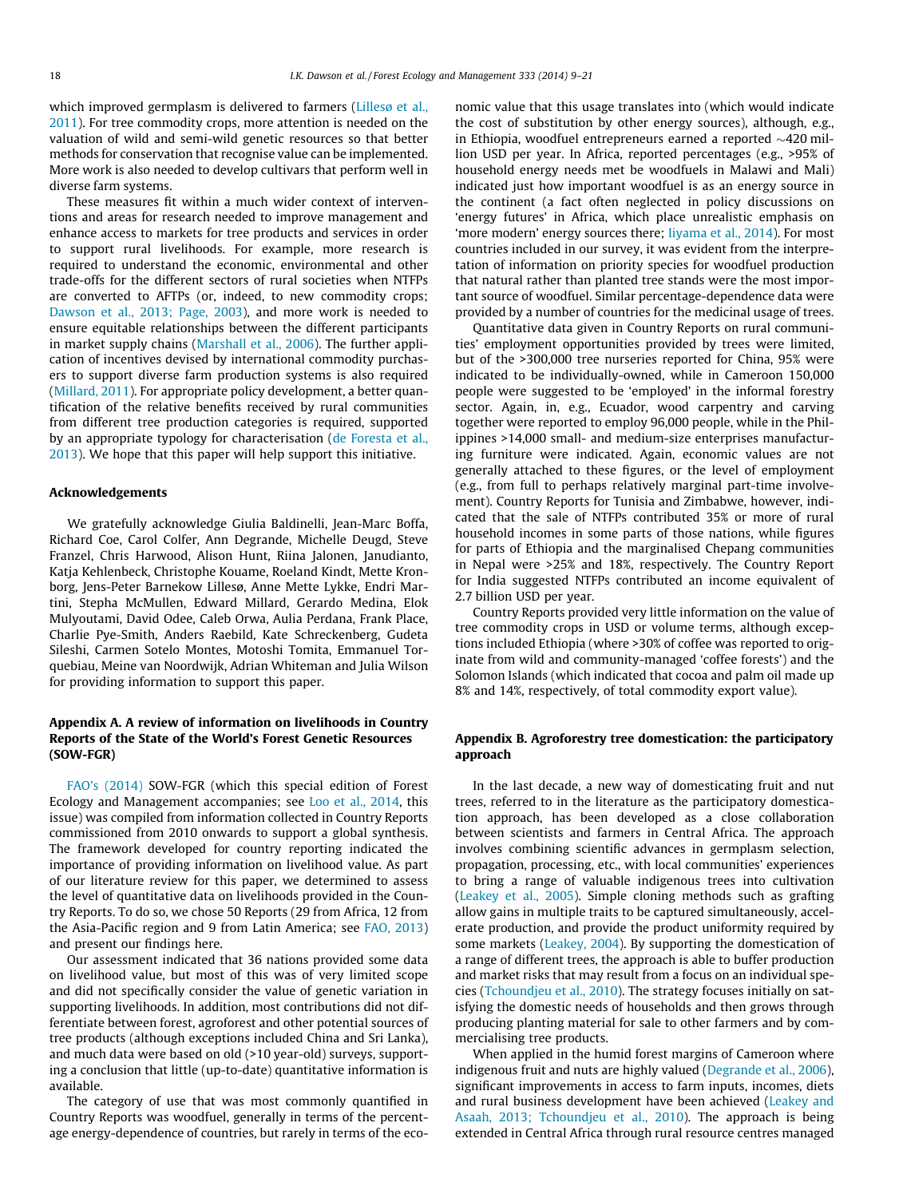<span id="page-9-0"></span>which improved germplasm is delivered to farmers [\(Lillesø et al.,](#page-11-0) [2011\)](#page-11-0). For tree commodity crops, more attention is needed on the valuation of wild and semi-wild genetic resources so that better methods for conservation that recognise value can be implemented. More work is also needed to develop cultivars that perform well in diverse farm systems.

These measures fit within a much wider context of interventions and areas for research needed to improve management and enhance access to markets for tree products and services in order to support rural livelihoods. For example, more research is required to understand the economic, environmental and other trade-offs for the different sectors of rural societies when NTFPs are converted to AFTPs (or, indeed, to new commodity crops; [Dawson et al., 2013; Page, 2003\)](#page-10-0), and more work is needed to ensure equitable relationships between the different participants in market supply chains [\(Marshall et al., 2006](#page-11-0)). The further application of incentives devised by international commodity purchasers to support diverse farm production systems is also required ([Millard, 2011](#page-11-0)). For appropriate policy development, a better quantification of the relative benefits received by rural communities from different tree production categories is required, supported by an appropriate typology for characterisation ([de Foresta et al.,](#page-10-0) [2013\)](#page-10-0). We hope that this paper will help support this initiative.

## Acknowledgements

We gratefully acknowledge Giulia Baldinelli, Jean-Marc Boffa, Richard Coe, Carol Colfer, Ann Degrande, Michelle Deugd, Steve Franzel, Chris Harwood, Alison Hunt, Riina Jalonen, Janudianto, Katja Kehlenbeck, Christophe Kouame, Roeland Kindt, Mette Kronborg, Jens-Peter Barnekow Lillesø, Anne Mette Lykke, Endri Martini, Stepha McMullen, Edward Millard, Gerardo Medina, Elok Mulyoutami, David Odee, Caleb Orwa, Aulia Perdana, Frank Place, Charlie Pye-Smith, Anders Raebild, Kate Schreckenberg, Gudeta Sileshi, Carmen Sotelo Montes, Motoshi Tomita, Emmanuel Torquebiau, Meine van Noordwijk, Adrian Whiteman and Julia Wilson for providing information to support this paper.

## Appendix A. A review of information on livelihoods in Country Reports of the State of the World's Forest Genetic Resources (SOW-FGR)

[FAO's \(2014\)](#page-10-0) SOW-FGR (which this special edition of Forest Ecology and Management accompanies; see [Loo et al., 2014,](#page-11-0) this issue) was compiled from information collected in Country Reports commissioned from 2010 onwards to support a global synthesis. The framework developed for country reporting indicated the importance of providing information on livelihood value. As part of our literature review for this paper, we determined to assess the level of quantitative data on livelihoods provided in the Country Reports. To do so, we chose 50 Reports (29 from Africa, 12 from the Asia-Pacific region and 9 from Latin America; see [FAO, 2013\)](#page-10-0) and present our findings here.

Our assessment indicated that 36 nations provided some data on livelihood value, but most of this was of very limited scope and did not specifically consider the value of genetic variation in supporting livelihoods. In addition, most contributions did not differentiate between forest, agroforest and other potential sources of tree products (although exceptions included China and Sri Lanka), and much data were based on old (>10 year-old) surveys, supporting a conclusion that little (up-to-date) quantitative information is available.

The category of use that was most commonly quantified in Country Reports was woodfuel, generally in terms of the percentage energy-dependence of countries, but rarely in terms of the economic value that this usage translates into (which would indicate the cost of substitution by other energy sources), although, e.g., in Ethiopia, woodfuel entrepreneurs earned a reported  $\sim$ 420 million USD per year. In Africa, reported percentages (e.g., >95% of household energy needs met be woodfuels in Malawi and Mali) indicated just how important woodfuel is as an energy source in the continent (a fact often neglected in policy discussions on 'energy futures' in Africa, which place unrealistic emphasis on 'more modern' energy sources there; [Iiyama et al., 2014](#page-11-0)). For most countries included in our survey, it was evident from the interpretation of information on priority species for woodfuel production that natural rather than planted tree stands were the most important source of woodfuel. Similar percentage-dependence data were provided by a number of countries for the medicinal usage of trees.

Quantitative data given in Country Reports on rural communities' employment opportunities provided by trees were limited, but of the >300,000 tree nurseries reported for China, 95% were indicated to be individually-owned, while in Cameroon 150,000 people were suggested to be 'employed' in the informal forestry sector. Again, in, e.g., Ecuador, wood carpentry and carving together were reported to employ 96,000 people, while in the Philippines >14,000 small- and medium-size enterprises manufacturing furniture were indicated. Again, economic values are not generally attached to these figures, or the level of employment (e.g., from full to perhaps relatively marginal part-time involvement). Country Reports for Tunisia and Zimbabwe, however, indicated that the sale of NTFPs contributed 35% or more of rural household incomes in some parts of those nations, while figures for parts of Ethiopia and the marginalised Chepang communities in Nepal were >25% and 18%, respectively. The Country Report for India suggested NTFPs contributed an income equivalent of 2.7 billion USD per year.

Country Reports provided very little information on the value of tree commodity crops in USD or volume terms, although exceptions included Ethiopia (where >30% of coffee was reported to originate from wild and community-managed 'coffee forests') and the Solomon Islands (which indicated that cocoa and palm oil made up 8% and 14%, respectively, of total commodity export value).

## Appendix B. Agroforestry tree domestication: the participatory approach

In the last decade, a new way of domesticating fruit and nut trees, referred to in the literature as the participatory domestication approach, has been developed as a close collaboration between scientists and farmers in Central Africa. The approach involves combining scientific advances in germplasm selection, propagation, processing, etc., with local communities' experiences to bring a range of valuable indigenous trees into cultivation ([Leakey et al., 2005](#page-11-0)). Simple cloning methods such as grafting allow gains in multiple traits to be captured simultaneously, accelerate production, and provide the product uniformity required by some markets ([Leakey, 2004](#page-11-0)). By supporting the domestication of a range of different trees, the approach is able to buffer production and market risks that may result from a focus on an individual species [\(Tchoundjeu et al., 2010](#page-12-0)). The strategy focuses initially on satisfying the domestic needs of households and then grows through producing planting material for sale to other farmers and by commercialising tree products.

When applied in the humid forest margins of Cameroon where indigenous fruit and nuts are highly valued ([Degrande et al., 2006\)](#page-10-0), significant improvements in access to farm inputs, incomes, diets and rural business development have been achieved ([Leakey and](#page-11-0) [Asaah, 2013; Tchoundjeu et al., 2010\)](#page-11-0). The approach is being extended in Central Africa through rural resource centres managed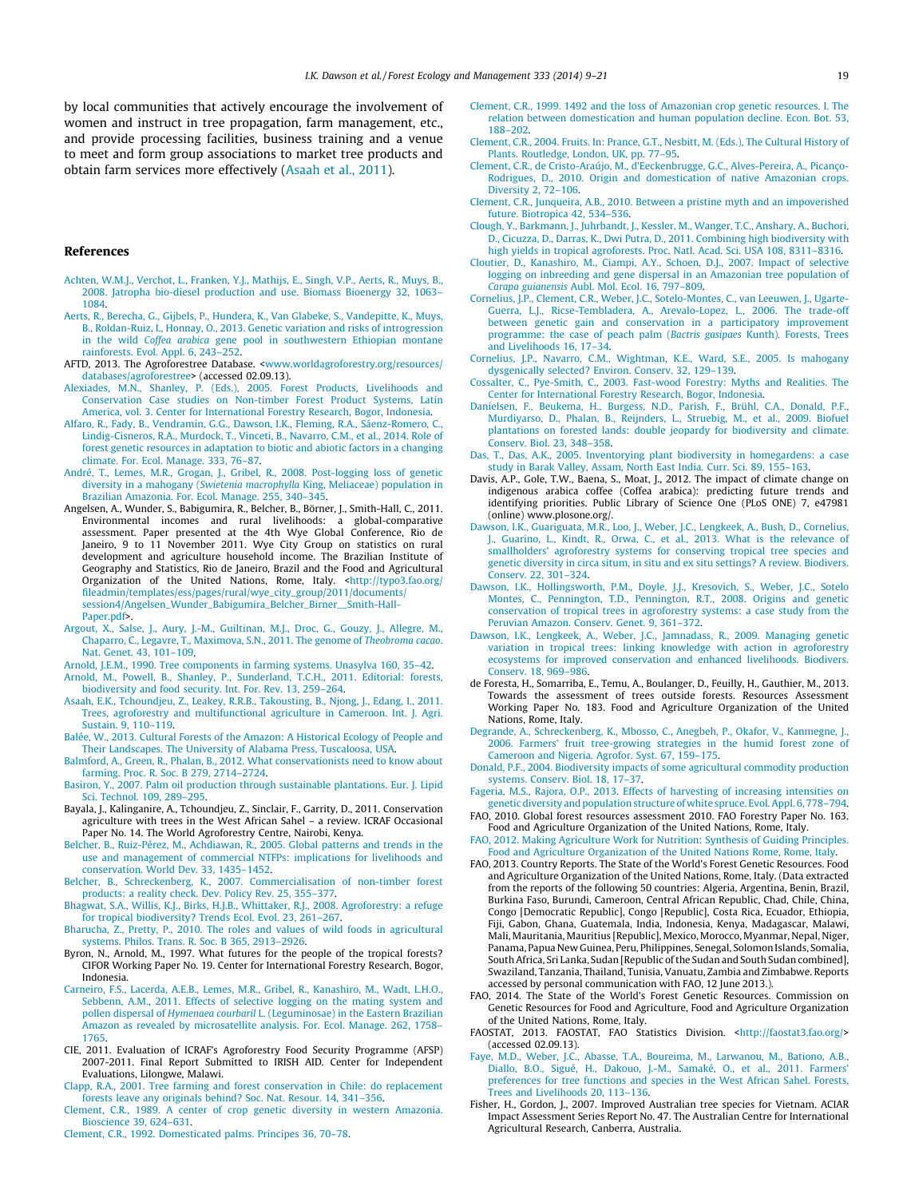<span id="page-10-0"></span>by local communities that actively encourage the involvement of women and instruct in tree propagation, farm management, etc., and provide processing facilities, business training and a venue to meet and form group associations to market tree products and obtain farm services more effectively (Asaah et al., 2011).

#### References

- [Achten, W.M.J., Verchot, L., Franken, Y.J., Mathijs, E., Singh, V.P., Aerts, R., Muys, B.,](http://refhub.elsevier.com/S0378-1127(14)00023-1/h0005) [2008. Jatropha bio-diesel production and use. Biomass Bioenergy 32, 1063–](http://refhub.elsevier.com/S0378-1127(14)00023-1/h0005) [1084.](http://refhub.elsevier.com/S0378-1127(14)00023-1/h0005)
- [Aerts, R., Berecha, G., Gijbels, P., Hundera, K., Van Glabeke, S., Vandepitte, K., Muys,](http://refhub.elsevier.com/S0378-1127(14)00023-1/h0010) [B., Roldan-Ruiz, I., Honnay, O., 2013. Genetic variation and risks of introgression](http://refhub.elsevier.com/S0378-1127(14)00023-1/h0010) in the wild Coffea arabica [gene pool in southwestern Ethiopian montane](http://refhub.elsevier.com/S0378-1127(14)00023-1/h0010) [rainforests. Evol. Appl. 6, 243–252.](http://refhub.elsevier.com/S0378-1127(14)00023-1/h0010)
- AFTD, 2013. The Agroforestree Database. <[www.worldagroforestry.org/resources/](http://www.worldagroforestry.org/resources/databases/agroforestree) [databases/agroforestree>](http://www.worldagroforestry.org/resources/databases/agroforestree) (accessed 02.09.13).
- [Alexiades, M.N., Shanley, P. \(Eds.\), 2005. Forest Products, Livelihoods and](http://refhub.elsevier.com/S0378-1127(14)00023-1/h0830) [Conservation Case studies on Non-timber Forest Product Systems, Latin](http://refhub.elsevier.com/S0378-1127(14)00023-1/h0830) [America, vol. 3. Center for International Forestry Research, Bogor, Indonesia](http://refhub.elsevier.com/S0378-1127(14)00023-1/h0830).
- [Alfaro, R., Fady, B., Vendramin, G.G., Dawson, I.K., Fleming, R.A., Sáenz-Romero, C.,](http://refhub.elsevier.com/S0378-1127(14)00023-1/h9000) [Lindig-Cisneros, R.A., Murdock, T., Vinceti, B., Navarro, C.M., et al., 2014. Role of](http://refhub.elsevier.com/S0378-1127(14)00023-1/h9000) [forest genetic resources in adaptation to biotic and abiotic factors in a changing](http://refhub.elsevier.com/S0378-1127(14)00023-1/h9000) [climate. For. Ecol. Manage. 333, 76–87.](http://refhub.elsevier.com/S0378-1127(14)00023-1/h9000)
- [André, T., Lemes, M.R., Grogan, J., Gribel, R., 2008. Post-logging loss of genetic](http://refhub.elsevier.com/S0378-1127(14)00023-1/h0030) diversity in a mahogany (Swietenia macrophylla [King, Meliaceae\) population in](http://refhub.elsevier.com/S0378-1127(14)00023-1/h0030) [Brazilian Amazonia. For. Ecol. Manage. 255, 340–345.](http://refhub.elsevier.com/S0378-1127(14)00023-1/h0030)
- Angelsen, A., Wunder, S., Babigumira, R., Belcher, B., Börner, J., Smith-Hall, C., 2011. Environmental incomes and rural livelihoods: a global-comparative assessment. Paper presented at the 4th Wye Global Conference, Rio de Janeiro, 9 to 11 November 2011. Wye City Group on statistics on rural development and agriculture household income. The Brazilian Institute of Geography and Statistics, Rio de Janeiro, Brazil and the Food and Agricultural Organization of the United Nations, Rome, Italy. <[http://typo3.fao.org/](http://typo3.fao.org/fileadmin/templates/ess/pages/rural/wye_city_group/2011/documents/session4/Angelsen_Wunder_Babigumira_Belcher_Birner__Smith-Hall-Paper.pdf) [fileadmin/templates/ess/pages/rural/wye\\_city\\_group/2011/documents/](http://typo3.fao.org/fileadmin/templates/ess/pages/rural/wye_city_group/2011/documents/session4/Angelsen_Wunder_Babigumira_Belcher_Birner__Smith-Hall-Paper.pdf) [session4/Angelsen\\_Wunder\\_Babigumira\\_Belcher\\_Birner\\_\\_Smith-Hall-](http://typo3.fao.org/fileadmin/templates/ess/pages/rural/wye_city_group/2011/documents/session4/Angelsen_Wunder_Babigumira_Belcher_Birner__Smith-Hall-Paper.pdf)[Paper.pdf](http://typo3.fao.org/fileadmin/templates/ess/pages/rural/wye_city_group/2011/documents/session4/Angelsen_Wunder_Babigumira_Belcher_Birner__Smith-Hall-Paper.pdf)>.
- [Argout, X., Salse, J., Aury, J.-M., Guiltinan, M.J., Droc, G., Gouzy, J., Allegre, M.,](http://refhub.elsevier.com/S0378-1127(14)00023-1/h0040) [Chaparro, C., Legavre, T., Maximova, S.N., 2011. The genome of](http://refhub.elsevier.com/S0378-1127(14)00023-1/h0040) Theobroma cacao. [Nat. Genet. 43, 101–109](http://refhub.elsevier.com/S0378-1127(14)00023-1/h0040).
- [Arnold, J.E.M., 1990. Tree components in farming systems. Unasylva 160, 35–42](http://refhub.elsevier.com/S0378-1127(14)00023-1/h0045).
- [Arnold, M., Powell, B., Shanley, P., Sunderland, T.C.H., 2011. Editorial: forests,](http://refhub.elsevier.com/S0378-1127(14)00023-1/h0050) [biodiversity and food security. Int. For. Rev. 13, 259–264](http://refhub.elsevier.com/S0378-1127(14)00023-1/h0050).
- [Asaah, E.K., Tchoundjeu, Z., Leakey, R.R.B., Takousting, B., Njong, J., Edang, I., 2011.](http://refhub.elsevier.com/S0378-1127(14)00023-1/h0055) [Trees, agroforestry and multifunctional agriculture in Cameroon. Int. J. Agri.](http://refhub.elsevier.com/S0378-1127(14)00023-1/h0055) [Sustain. 9, 110–119](http://refhub.elsevier.com/S0378-1127(14)00023-1/h0055).
- [Balée, W., 2013. Cultural Forests of the Amazon: A Historical Ecology of People and](http://refhub.elsevier.com/S0378-1127(14)00023-1/h0060) [Their Landscapes. The University of Alabama Press, Tuscaloosa, USA](http://refhub.elsevier.com/S0378-1127(14)00023-1/h0060).
- [Balmford, A., Green, R., Phalan, B., 2012. What conservationists need to know about](http://refhub.elsevier.com/S0378-1127(14)00023-1/h0065) [farming. Proc. R. Soc. B 279, 2714–2724.](http://refhub.elsevier.com/S0378-1127(14)00023-1/h0065)
- [Basiron, Y., 2007. Palm oil production through sustainable plantations. Eur. J. Lipid](http://refhub.elsevier.com/S0378-1127(14)00023-1/h0070) [Sci. Technol. 109, 289–295.](http://refhub.elsevier.com/S0378-1127(14)00023-1/h0070)
- Bayala, J., Kalinganire, A., Tchoundjeu, Z., Sinclair, F., Garrity, D., 2011. Conservation agriculture with trees in the West African Sahel – a review. ICRAF Occasional Paper No. 14. The World Agroforestry Centre, Nairobi, Kenya.
- [Belcher, B., Ruiz-Pérez, M., Achdiawan, R., 2005. Global patterns and trends in the](http://refhub.elsevier.com/S0378-1127(14)00023-1/h0080) [use and management of commercial NTFPs: implications for livelihoods and](http://refhub.elsevier.com/S0378-1127(14)00023-1/h0080) [conservation. World Dev. 33, 1435–1452](http://refhub.elsevier.com/S0378-1127(14)00023-1/h0080).
- [Belcher, B., Schreckenberg, K., 2007. Commercialisation of non-timber forest](http://refhub.elsevier.com/S0378-1127(14)00023-1/h0085) [products: a reality check. Dev. Policy Rev. 25, 355–377.](http://refhub.elsevier.com/S0378-1127(14)00023-1/h0085)
- [Bhagwat, S.A., Willis, K.J., Birks, H.J.B., Whittaker, R.J., 2008. Agroforestry: a refuge](http://refhub.elsevier.com/S0378-1127(14)00023-1/h0090) [for tropical biodiversity? Trends Ecol. Evol. 23, 261–267](http://refhub.elsevier.com/S0378-1127(14)00023-1/h0090).
- [Bharucha, Z., Pretty, P., 2010. The roles and values of wild foods in agricultural](http://refhub.elsevier.com/S0378-1127(14)00023-1/h0095) [systems. Philos. Trans. R. Soc. B 365, 2913–2926.](http://refhub.elsevier.com/S0378-1127(14)00023-1/h0095)
- Byron, N., Arnold, M., 1997. What futures for the people of the tropical forests? CIFOR Working Paper No. 19. Center for International Forestry Research, Bogor, Indonesia.
- [Carneiro, F.S., Lacerda, A.E.B., Lemes, M.R., Gribel, R., Kanashiro, M., Wadt, L.H.O.,](http://refhub.elsevier.com/S0378-1127(14)00023-1/h0105) [Sebbenn, A.M., 2011. Effects of selective logging on the mating system and](http://refhub.elsevier.com/S0378-1127(14)00023-1/h0105) pollen dispersal of Hymenaea courbaril [L. \(Leguminosae\) in the Eastern Brazilian](http://refhub.elsevier.com/S0378-1127(14)00023-1/h0105) [Amazon as revealed by microsatellite analysis. For. Ecol. Manage. 262, 1758–](http://refhub.elsevier.com/S0378-1127(14)00023-1/h0105) [1765.](http://refhub.elsevier.com/S0378-1127(14)00023-1/h0105)
- CIE, 2011. Evaluation of ICRAF's Agroforestry Food Security Programme (AFSP) 2007-2011. Final Report Submitted to IRISH AID. Center for Independent Evaluations, Lilongwe, Malawi.
- [Clapp, R.A., 2001. Tree farming and forest conservation in Chile: do replacement](http://refhub.elsevier.com/S0378-1127(14)00023-1/h0115) [forests leave any originals behind? Soc. Nat. Resour. 14, 341–356](http://refhub.elsevier.com/S0378-1127(14)00023-1/h0115).
- [Clement, C.R., 1989. A center of crop genetic diversity in western Amazonia.](http://refhub.elsevier.com/S0378-1127(14)00023-1/h0120) [Bioscience 39, 624–631](http://refhub.elsevier.com/S0378-1127(14)00023-1/h0120).
- [Clement, C.R., 1992. Domesticated palms. Principes 36, 70–78.](http://refhub.elsevier.com/S0378-1127(14)00023-1/h0125)
- [Clement, C.R., 1999. 1492 and the loss of Amazonian crop genetic resources. I. The](http://refhub.elsevier.com/S0378-1127(14)00023-1/h0130) [relation between domestication and human population decline. Econ. Bot. 53,](http://refhub.elsevier.com/S0378-1127(14)00023-1/h0130) [188–202](http://refhub.elsevier.com/S0378-1127(14)00023-1/h0130).
- [Clement, C.R., 2004. Fruits. In: Prance, G.T., Nesbitt, M. \(Eds.\), The Cultural History of](http://refhub.elsevier.com/S0378-1127(14)00023-1/h0135) [Plants. Routledge, London, UK, pp. 77–95.](http://refhub.elsevier.com/S0378-1127(14)00023-1/h0135)
- [Clement, C.R., de Cristo-Araújo, M., d'Eeckenbrugge, G.C., Alves-Pereira, A., Picanço-](http://refhub.elsevier.com/S0378-1127(14)00023-1/h0140)[Rodrigues, D., 2010. Origin and domestication of native Amazonian crops.](http://refhub.elsevier.com/S0378-1127(14)00023-1/h0140) [Diversity 2, 72–106](http://refhub.elsevier.com/S0378-1127(14)00023-1/h0140).
- [Clement, C.R., Junqueira, A.B., 2010. Between a pristine myth and an impoverished](http://refhub.elsevier.com/S0378-1127(14)00023-1/h0145) [future. Biotropica 42, 534–536.](http://refhub.elsevier.com/S0378-1127(14)00023-1/h0145)
- [Clough, Y., Barkmann, J., Juhrbandt, J., Kessler, M., Wanger, T.C., Anshary, A., Buchori,](http://refhub.elsevier.com/S0378-1127(14)00023-1/h0150) [D., Cicuzza, D., Darras, K., Dwi Putra, D., 2011. Combining high biodiversity with](http://refhub.elsevier.com/S0378-1127(14)00023-1/h0150) [high yields in tropical agroforests. Proc. Natl. Acad. Sci. USA 108, 8311–8316](http://refhub.elsevier.com/S0378-1127(14)00023-1/h0150).
- [Cloutier, D., Kanashiro, M., Ciampi, A.Y., Schoen, D.J., 2007. Impact of selective](http://refhub.elsevier.com/S0378-1127(14)00023-1/h0155) [logging on inbreeding and gene dispersal in an Amazonian tree population of](http://refhub.elsevier.com/S0378-1127(14)00023-1/h0155) Carapa guianensis [Aubl. Mol. Ecol. 16, 797–809.](http://refhub.elsevier.com/S0378-1127(14)00023-1/h0155)
- [Cornelius, J.P., Clement, C.R., Weber, J.C., Sotelo-Montes, C., van Leeuwen, J., Ugarte-](http://refhub.elsevier.com/S0378-1127(14)00023-1/h0160)[Guerra, L.J., Ricse-Tembladera, A., Arevalo-Lopez, L., 2006. The trade-off](http://refhub.elsevier.com/S0378-1127(14)00023-1/h0160) [between genetic gain and conservation in a participatory improvement](http://refhub.elsevier.com/S0378-1127(14)00023-1/h0160) [programme: the case of peach palm \(](http://refhub.elsevier.com/S0378-1127(14)00023-1/h0160)Bactris gasipaes Kunth). Forests, Trees [and Livelihoods 16, 17–34.](http://refhub.elsevier.com/S0378-1127(14)00023-1/h0160)
- [Cornelius, J.P., Navarro, C.M., Wightman, K.E., Ward, S.E., 2005. Is mahogany](http://refhub.elsevier.com/S0378-1127(14)00023-1/h0165) [dysgenically selected? Environ. Conserv. 32, 129–139](http://refhub.elsevier.com/S0378-1127(14)00023-1/h0165).
- [Cossalter, C., Pye-Smith, C., 2003. Fast-wood Forestry: Myths and Realities. The](http://refhub.elsevier.com/S0378-1127(14)00023-1/h0170) [Center for International Forestry Research, Bogor, Indonesia](http://refhub.elsevier.com/S0378-1127(14)00023-1/h0170).
- Danielsen, F., Beukema, H., Burgess, N.D., Parish, F., Brühl, C.A., Donald, P.F. [Murdiyarso, D., Phalan, B., Reijnders, L., Struebig, M., et al., 2009. Biofuel](http://refhub.elsevier.com/S0378-1127(14)00023-1/h0175) [plantations on forested lands: double jeopardy for biodiversity and climate.](http://refhub.elsevier.com/S0378-1127(14)00023-1/h0175) [Conserv. Biol. 23, 348–358.](http://refhub.elsevier.com/S0378-1127(14)00023-1/h0175)
- [Das, T., Das, A.K., 2005. Inventorying plant biodiversity in homegardens: a case](http://refhub.elsevier.com/S0378-1127(14)00023-1/h0180) [study in Barak Valley, Assam, North East India. Curr. Sci. 89, 155–163.](http://refhub.elsevier.com/S0378-1127(14)00023-1/h0180)
- Davis, A.P., Gole, T.W., Baena, S., Moat, J., 2012. The impact of climate change on indigenous arabica coffee (Coffea arabica): predicting future trends and identifying priorities. Public Library of Science One (PLoS ONE) 7, e47981 (online) www.plosone.org/.
- [Dawson, I.K., Guariguata, M.R., Loo, J., Weber, J.C., Lengkeek, A., Bush, D., Cornelius,](http://refhub.elsevier.com/S0378-1127(14)00023-1/h0190) [J., Guarino, L., Kindt, R., Orwa, C., et al., 2013. What is the relevance of](http://refhub.elsevier.com/S0378-1127(14)00023-1/h0190) [smallholders' agroforestry systems for conserving tropical tree species and](http://refhub.elsevier.com/S0378-1127(14)00023-1/h0190) [genetic diversity in circa situm, in situ and ex situ settings? A review. Biodivers.](http://refhub.elsevier.com/S0378-1127(14)00023-1/h0190) [Conserv. 22, 301–324](http://refhub.elsevier.com/S0378-1127(14)00023-1/h0190).
- [Dawson, I.K., Hollingsworth, P.M., Doyle, J.J., Kresovich, S., Weber, J.C., Sotelo](http://refhub.elsevier.com/S0378-1127(14)00023-1/h0195) [Montes, C., Pennington, T.D., Pennington, R.T., 2008. Origins and genetic](http://refhub.elsevier.com/S0378-1127(14)00023-1/h0195) [conservation of tropical trees in agroforestry systems: a case study from the](http://refhub.elsevier.com/S0378-1127(14)00023-1/h0195) [Peruvian Amazon. Conserv. Genet. 9, 361–372](http://refhub.elsevier.com/S0378-1127(14)00023-1/h0195).
- [Dawson, I.K., Lengkeek, A., Weber, J.C., Jamnadass, R., 2009. Managing genetic](http://refhub.elsevier.com/S0378-1127(14)00023-1/h0200) [variation in tropical trees: linking knowledge with action in agroforestry](http://refhub.elsevier.com/S0378-1127(14)00023-1/h0200) [ecosystems for improved conservation and enhanced livelihoods. Biodivers.](http://refhub.elsevier.com/S0378-1127(14)00023-1/h0200) [Conserv. 18, 969–986](http://refhub.elsevier.com/S0378-1127(14)00023-1/h0200).
- de Foresta, H., Somarriba, E., Temu, A., Boulanger, D., Feuilly, H., Gauthier, M., 2013. Towards the assessment of trees outside forests. Resources Assessment Working Paper No. 183. Food and Agriculture Organization of the United Nations, Rome, Italy.
- [Degrande, A., Schreckenberg, K., Mbosso, C., Anegbeh, P., Okafor, V., Kanmegne, J.,](http://refhub.elsevier.com/S0378-1127(14)00023-1/h0210) [2006. Farmers' fruit tree-growing strategies in the humid forest zone of](http://refhub.elsevier.com/S0378-1127(14)00023-1/h0210) [Cameroon and Nigeria. Agrofor. Syst. 67, 159–175.](http://refhub.elsevier.com/S0378-1127(14)00023-1/h0210)
- [Donald, P.F., 2004. Biodiversity impacts of some agricultural commodity production](http://refhub.elsevier.com/S0378-1127(14)00023-1/h0215) [systems. Conserv. Biol. 18, 17–37.](http://refhub.elsevier.com/S0378-1127(14)00023-1/h0215)
- [Fageria, M.S., Rajora, O.P., 2013. Effects of harvesting of increasing intensities on](http://refhub.elsevier.com/S0378-1127(14)00023-1/h0220) [genetic diversity and population structure of white spruce. Evol. Appl. 6, 778–794.](http://refhub.elsevier.com/S0378-1127(14)00023-1/h0220)
- FAO, 2010. Global forest resources assessment 2010. FAO Forestry Paper No. 163. Food and Agriculture Organization of the United Nations, Rome, Italy.
- [FAO, 2012. Making Agriculture Work for Nutrition: Synthesis of Guiding Principles.](http://refhub.elsevier.com/S0378-1127(14)00023-1/h0230) [Food and Agriculture Organization of the United Nations Rome, Rome, Italy.](http://refhub.elsevier.com/S0378-1127(14)00023-1/h0230)
- FAO, 2013. Country Reports. The State of the World's Forest Genetic Resources. Food and Agriculture Organization of the United Nations, Rome, Italy. (Data extracted from the reports of the following 50 countries: Algeria, Argentina, Benin, Brazil, Burkina Faso, Burundi, Cameroon, Central African Republic, Chad, Chile, China, Congo [Democratic Republic], Congo [Republic], Costa Rica, Ecuador, Ethiopia, Fiji, Gabon, Ghana, Guatemala, India, Indonesia, Kenya, Madagascar, Malawi, Mali, Mauritania, Mauritius [Republic], Mexico, Morocco, Myanmar, Nepal, Niger, Panama, Papua New Guinea, Peru, Philippines, Senegal, Solomon Islands, Somalia, South Africa, Sri Lanka, Sudan [Republic of the Sudan and South Sudan combined], Swaziland, Tanzania, Thailand, Tunisia, Vanuatu, Zambia and Zimbabwe. Reports accessed by personal communication with FAO, 12 June 2013.).
- FAO, 2014. The State of the World's Forest Genetic Resources. Commission on Genetic Resources for Food and Agriculture, Food and Agriculture Organization of the United Nations, Rome, Italy.
- FAOSTAT, 2013. FAOSTAT, FAO Statistics Division. [<http://faostat3.fao.org/>](http://faostat3.fao.org/) (accessed 02.09.13).
- [Faye, M.D., Weber, J.C., Abasse, T.A., Boureima, M., Larwanou, M., Bationo, A.B.,](http://refhub.elsevier.com/S0378-1127(14)00023-1/h0250) [Diallo, B.O., Sigué, H., Dakouo, J.-M., Samaké, O., et al., 2011. Farmers'](http://refhub.elsevier.com/S0378-1127(14)00023-1/h0250) [preferences for tree functions and species in the West African Sahel. Forests,](http://refhub.elsevier.com/S0378-1127(14)00023-1/h0250) [Trees and Livelihoods 20, 113–136](http://refhub.elsevier.com/S0378-1127(14)00023-1/h0250).
- Fisher, H., Gordon, J., 2007. Improved Australian tree species for Vietnam. ACIAR Impact Assessment Series Report No. 47. The Australian Centre for International Agricultural Research, Canberra, Australia.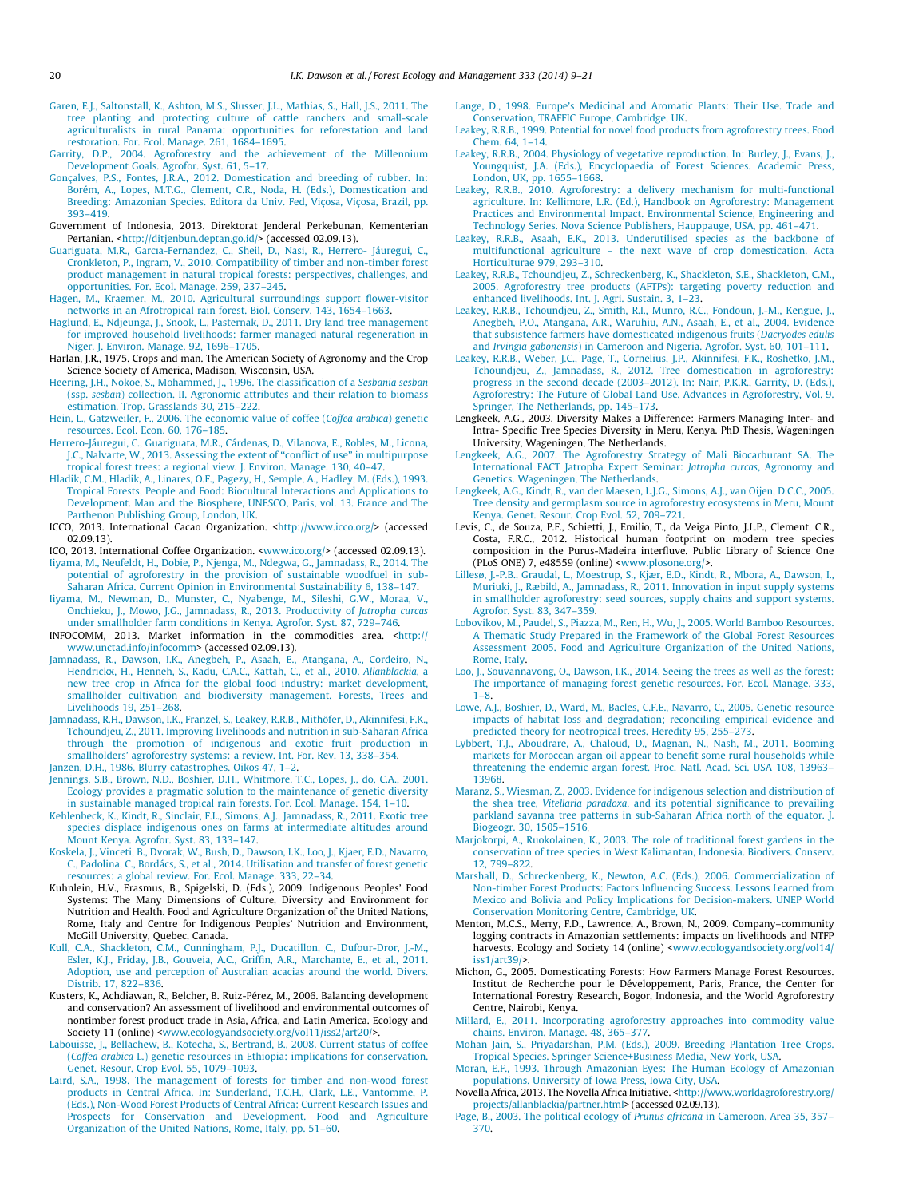- <span id="page-11-0"></span>[Garen, E.J., Saltonstall, K., Ashton, M.S., Slusser, J.L., Mathias, S., Hall, J.S., 2011. The](http://refhub.elsevier.com/S0378-1127(14)00023-1/h0260) [tree planting and protecting culture of cattle ranchers and small-scale](http://refhub.elsevier.com/S0378-1127(14)00023-1/h0260) [agriculturalists in rural Panama: opportunities for reforestation and land](http://refhub.elsevier.com/S0378-1127(14)00023-1/h0260) [restoration. For. Ecol. Manage. 261, 1684–1695](http://refhub.elsevier.com/S0378-1127(14)00023-1/h0260).
- [Garrity, D.P., 2004. Agroforestry and the achievement of the Millennium](http://refhub.elsevier.com/S0378-1127(14)00023-1/h0265) [Development Goals. Agrofor. Syst. 61, 5–17.](http://refhub.elsevier.com/S0378-1127(14)00023-1/h0265)
- [Gonçalves, P.S., Fontes, J.R.A., 2012. Domestication and breeding of rubber. In:](http://refhub.elsevier.com/S0378-1127(14)00023-1/h0275) [Borém, A., Lopes, M.T.G., Clement, C.R., Noda, H. \(Eds.\), Domestication and](http://refhub.elsevier.com/S0378-1127(14)00023-1/h0275) [Breeding: Amazonian Species. Editora da Univ. Fed, Viçosa, Viçosa, Brazil, pp.](http://refhub.elsevier.com/S0378-1127(14)00023-1/h0275) [393–419](http://refhub.elsevier.com/S0378-1127(14)00023-1/h0275).
- Government of Indonesia, 2013. Direktorat Jenderal Perkebunan, Kementerian Pertanian. <<http://ditjenbun.deptan.go.id/>> (accessed 02.09.13).
- [Guariguata, M.R., Garcıa-Fernandez, C., Sheil, D., Nasi, R., Herrero- Jáuregui, C.,](http://refhub.elsevier.com/S0378-1127(14)00023-1/h0285) [Cronkleton, P., Ingram, V., 2010. Compatibility of timber and non-timber forest](http://refhub.elsevier.com/S0378-1127(14)00023-1/h0285) [product management in natural tropical forests: perspectives, challenges, and](http://refhub.elsevier.com/S0378-1127(14)00023-1/h0285) [opportunities. For. Ecol. Manage. 259, 237–245](http://refhub.elsevier.com/S0378-1127(14)00023-1/h0285).
- [Hagen, M., Kraemer, M., 2010. Agricultural surroundings support flower-visitor](http://refhub.elsevier.com/S0378-1127(14)00023-1/h0290) [networks in an Afrotropical rain forest. Biol. Conserv. 143, 1654–1663](http://refhub.elsevier.com/S0378-1127(14)00023-1/h0290).
- [Haglund, E., Ndjeunga, J., Snook, L., Pasternak, D., 2011. Dry land tree management](http://refhub.elsevier.com/S0378-1127(14)00023-1/h0295) [for improved household livelihoods: farmer managed natural regeneration in](http://refhub.elsevier.com/S0378-1127(14)00023-1/h0295) [Niger. J. Environ. Manage. 92, 1696–1705.](http://refhub.elsevier.com/S0378-1127(14)00023-1/h0295)
- Harlan, J.R., 1975. Crops and man. The American Society of Agronomy and the Crop Science Society of America, Madison, Wisconsin, USA.
- [Heering, J.H., Nokoe, S., Mohammed, J., 1996. The classification of a](http://refhub.elsevier.com/S0378-1127(14)00023-1/h0305) Sesbania sesban (ssp. sesban[\) collection. II. Agronomic attributes and their relation to biomass](http://refhub.elsevier.com/S0378-1127(14)00023-1/h0305) [estimation. Trop. Grasslands 30, 215–222](http://refhub.elsevier.com/S0378-1127(14)00023-1/h0305).
- [Hein, L., Gatzweiler, F., 2006. The economic value of coffee \(](http://refhub.elsevier.com/S0378-1127(14)00023-1/h0310)Coffea arabica) genetic [resources. Ecol. Econ. 60, 176–185](http://refhub.elsevier.com/S0378-1127(14)00023-1/h0310).
- [Herrero-Jáuregui, C., Guariguata, M.R., Cárdenas, D., Vilanova, E., Robles, M., Licona,](http://refhub.elsevier.com/S0378-1127(14)00023-1/h0315) [J.C., Nalvarte, W., 2013. Assessing the extent of ''conflict of use'' in multipurpose](http://refhub.elsevier.com/S0378-1127(14)00023-1/h0315) [tropical forest trees: a regional view. J. Environ. Manage. 130, 40–47.](http://refhub.elsevier.com/S0378-1127(14)00023-1/h0315)
- [Hladik, C.M., Hladik, A., Linares, O.F., Pagezy, H., Semple, A., Hadley, M. \(Eds.\), 1993.](http://refhub.elsevier.com/S0378-1127(14)00023-1/h0840) [Tropical Forests, People and Food: Biocultural Interactions and Applications to](http://refhub.elsevier.com/S0378-1127(14)00023-1/h0840) [Development. Man and the Biosphere, UNESCO, Paris, vol. 13. France and The](http://refhub.elsevier.com/S0378-1127(14)00023-1/h0840) [Parthenon Publishing Group, London, UK](http://refhub.elsevier.com/S0378-1127(14)00023-1/h0840).
- ICCO, 2013. International Cacao Organization. [<http://www.icco.org/>](http://www.icco.org/) (accessed 02.09.13).
- ICO, 2013. International Coffee Organization. <[www.ico.org/>](http://www.ico.org/) (accessed 02.09.13).
- [Iiyama, M., Neufeldt, H., Dobie, P., Njenga, M., Ndegwa, G., Jamnadass, R., 2014. The](http://refhub.elsevier.com/S0378-1127(14)00023-1/h0880) [potential of agroforestry in the provision of sustainable woodfuel in sub-](http://refhub.elsevier.com/S0378-1127(14)00023-1/h0880)[Saharan Africa. Current Opinion in Environmental Sustainability 6, 138–147](http://refhub.elsevier.com/S0378-1127(14)00023-1/h0880).
- [Iiyama, M., Newman, D., Munster, C., Nyabenge, M., Sileshi, G.W., Moraa, V.,](http://refhub.elsevier.com/S0378-1127(14)00023-1/h0340) [Onchieku, J., Mowo, J.G., Jamnadass, R., 2013. Productivity of](http://refhub.elsevier.com/S0378-1127(14)00023-1/h0340) Jatropha curcas [under smallholder farm conditions in Kenya. Agrofor. Syst. 87, 729–746.](http://refhub.elsevier.com/S0378-1127(14)00023-1/h0340)
- INFOCOMM, 2013. Market information in the commodities area. [<http://](http://www.unctad.info/infocomm) [www.unctad.info/infocomm](http://www.unctad.info/infocomm)> (accessed 02.09.13).
- [Jamnadass, R., Dawson, I.K., Anegbeh, P., Asaah, E., Atangana, A., Cordeiro, N.,](http://refhub.elsevier.com/S0378-1127(14)00023-1/h0350) [Hendrickx, H., Henneh, S., Kadu, C.A.C., Kattah, C., et al., 2010.](http://refhub.elsevier.com/S0378-1127(14)00023-1/h0350) Allanblackia, a [new tree crop in Africa for the global food industry: market development,](http://refhub.elsevier.com/S0378-1127(14)00023-1/h0350) [smallholder cultivation and biodiversity management. Forests, Trees and](http://refhub.elsevier.com/S0378-1127(14)00023-1/h0350) [Livelihoods 19, 251–268](http://refhub.elsevier.com/S0378-1127(14)00023-1/h0350).
- [Jamnadass, R.H., Dawson, I.K., Franzel, S., Leakey, R.R.B., Mithöfer, D., Akinnifesi, F.K.,](http://refhub.elsevier.com/S0378-1127(14)00023-1/h0355) [Tchoundjeu, Z., 2011. Improving livelihoods and nutrition in sub-Saharan Africa](http://refhub.elsevier.com/S0378-1127(14)00023-1/h0355) [through the promotion of indigenous and exotic fruit production in](http://refhub.elsevier.com/S0378-1127(14)00023-1/h0355) [smallholders' agroforestry systems: a review. Int. For. Rev. 13, 338–354.](http://refhub.elsevier.com/S0378-1127(14)00023-1/h0355)
- [Janzen, D.H., 1986. Blurry catastrophes. Oikos 47, 1–2](http://refhub.elsevier.com/S0378-1127(14)00023-1/h0360).
- [Jennings, S.B., Brown, N.D., Boshier, D.H., Whitmore, T.C., Lopes, J., do, C.A., 2001.](http://refhub.elsevier.com/S0378-1127(14)00023-1/h0365) [Ecology provides a pragmatic solution to the maintenance of genetic diversity](http://refhub.elsevier.com/S0378-1127(14)00023-1/h0365) [in sustainable managed tropical rain forests. For. Ecol. Manage. 154, 1–10.](http://refhub.elsevier.com/S0378-1127(14)00023-1/h0365)
- [Kehlenbeck, K., Kindt, R., Sinclair, F.L., Simons, A.J., Jamnadass, R., 2011. Exotic tree](http://refhub.elsevier.com/S0378-1127(14)00023-1/h0370) [species displace indigenous ones on farms at intermediate altitudes around](http://refhub.elsevier.com/S0378-1127(14)00023-1/h0370) [Mount Kenya. Agrofor. Syst. 83, 133–147.](http://refhub.elsevier.com/S0378-1127(14)00023-1/h0370)
- [Koskela, J., Vinceti, B., Dvorak, W., Bush, D., Dawson, I.K., Loo, J., Kjaer, E.D., Navarro,](http://refhub.elsevier.com/S0378-1127(14)00023-1/h9005) [C., Padolina, C., Bordács, S., et al., 2014. Utilisation and transfer of forest genetic](http://refhub.elsevier.com/S0378-1127(14)00023-1/h9005) [resources: a global review. For. Ecol. Manage. 333, 22–34](http://refhub.elsevier.com/S0378-1127(14)00023-1/h9005).
- Kuhnlein, H.V., Erasmus, B., Spigelski, D. (Eds.), 2009. Indigenous Peoples' Food Systems: The Many Dimensions of Culture, Diversity and Environment for Nutrition and Health. Food and Agriculture Organization of the United Nations, Rome, Italy and Centre for Indigenous Peoples' Nutrition and Environment, McGill University, Quebec, Canada.
- [Kull, C.A., Shackleton, C.M., Cunningham, P.J., Ducatillon, C., Dufour-Dror, J.-M.,](http://refhub.elsevier.com/S0378-1127(14)00023-1/h0385) [Esler, K.J., Friday, J.B., Gouveia, A.C., Griffin, A.R., Marchante, E., et al., 2011.](http://refhub.elsevier.com/S0378-1127(14)00023-1/h0385) [Adoption, use and perception of Australian acacias around the world. Divers.](http://refhub.elsevier.com/S0378-1127(14)00023-1/h0385) [Distrib. 17, 822–836.](http://refhub.elsevier.com/S0378-1127(14)00023-1/h0385)
- Kusters, K., Achdiawan, R., Belcher, B. Ruiz-Pérez, M., 2006. Balancing development and conservation? An assessment of livelihood and environmental outcomes of nontimber forest product trade in Asia, Africa, and Latin America. Ecology and
- Society 11 (online) <[www.ecologyandsociety.org/vol11/iss2/art20/>](http://www.ecologyandsociety.org/vol11/iss2/art20/). [Labouisse, J., Bellachew, B., Kotecha, S., Bertrand, B., 2008. Current status of coffee](http://refhub.elsevier.com/S0378-1127(14)00023-1/h0395) (Coffea arabica [L.\) genetic resources in Ethiopia: implications for conservation.](http://refhub.elsevier.com/S0378-1127(14)00023-1/h0395) [Genet. Resour. Crop Evol. 55, 1079–1093.](http://refhub.elsevier.com/S0378-1127(14)00023-1/h0395)
- [Laird, S.A., 1998. The management of forests for timber and non-wood forest](http://refhub.elsevier.com/S0378-1127(14)00023-1/h0400) [products in Central Africa. In: Sunderland, T.C.H., Clark, L.E., Vantomme, P.](http://refhub.elsevier.com/S0378-1127(14)00023-1/h0400) [\(Eds.\), Non-Wood Forest Products of Central Africa: Current Research Issues and](http://refhub.elsevier.com/S0378-1127(14)00023-1/h0400) [Prospects for Conservation and Development. Food and Agriculture](http://refhub.elsevier.com/S0378-1127(14)00023-1/h0400) [Organization of the United Nations, Rome, Italy, pp. 51–60](http://refhub.elsevier.com/S0378-1127(14)00023-1/h0400).
- [Lange, D., 1998. Europe's Medicinal and Aromatic Plants: Their Use. Trade and](http://refhub.elsevier.com/S0378-1127(14)00023-1/h0405) [Conservation, TRAFFIC Europe, Cambridge, UK.](http://refhub.elsevier.com/S0378-1127(14)00023-1/h0405)
- [Leakey, R.R.B., 1999. Potential for novel food products from agroforestry trees. Food](http://refhub.elsevier.com/S0378-1127(14)00023-1/h0410) [Chem. 64, 1–14](http://refhub.elsevier.com/S0378-1127(14)00023-1/h0410).
- [Leakey, R.R.B., 2004. Physiology of vegetative reproduction. In: Burley, J., Evans, J.,](http://refhub.elsevier.com/S0378-1127(14)00023-1/h0415) [Youngquist, J.A. \(Eds.\), Encyclopaedia of Forest Sciences. Academic Press,](http://refhub.elsevier.com/S0378-1127(14)00023-1/h0415) [London, UK, pp. 1655–1668](http://refhub.elsevier.com/S0378-1127(14)00023-1/h0415).
- [Leakey, R.R.B., 2010. Agroforestry: a delivery mechanism for multi-functional](http://refhub.elsevier.com/S0378-1127(14)00023-1/h0845) [agriculture. In: Kellimore, L.R. \(Ed.\), Handbook on Agroforestry: Management](http://refhub.elsevier.com/S0378-1127(14)00023-1/h0845) [Practices and Environmental Impact. Environmental Science, Engineering and](http://refhub.elsevier.com/S0378-1127(14)00023-1/h0845) [Technology Series. Nova Science Publishers, Hauppauge, USA, pp. 461–471](http://refhub.elsevier.com/S0378-1127(14)00023-1/h0845).
- [Leakey, R.R.B., Asaah, E.K., 2013. Underutilised species as the backbone of](http://refhub.elsevier.com/S0378-1127(14)00023-1/h0425) [multifunctional agriculture – the next wave of crop domestication. Acta](http://refhub.elsevier.com/S0378-1127(14)00023-1/h0425) [Horticulturae 979, 293–310](http://refhub.elsevier.com/S0378-1127(14)00023-1/h0425).
- [Leakey, R.R.B., Tchoundjeu, Z., Schreckenberg, K., Shackleton, S.E., Shackleton, C.M.,](http://refhub.elsevier.com/S0378-1127(14)00023-1/h0430) [2005. Agroforestry tree products \(AFTPs\): targeting poverty reduction and](http://refhub.elsevier.com/S0378-1127(14)00023-1/h0430) [enhanced livelihoods. Int. J. Agri. Sustain. 3, 1–23](http://refhub.elsevier.com/S0378-1127(14)00023-1/h0430).
- [Leakey, R.R.B., Tchoundjeu, Z., Smith, R.I., Munro, R.C., Fondoun, J.-M., Kengue, J.,](http://refhub.elsevier.com/S0378-1127(14)00023-1/h0435) [Anegbeh, P.O., Atangana, A.R., Waruhiu, A.N., Asaah, E., et al., 2004. Evidence](http://refhub.elsevier.com/S0378-1127(14)00023-1/h0435) [that subsistence farmers have domesticated indigenous fruits \(](http://refhub.elsevier.com/S0378-1127(14)00023-1/h0435)Dacryodes edulis and Irvingia gabonensis[\) in Cameroon and Nigeria. Agrofor. Syst. 60, 101–111.](http://refhub.elsevier.com/S0378-1127(14)00023-1/h0435)
- [Leakey, R.R.B., Weber, J.C., Page, T., Cornelius, J.P., Akinnifesi, F.K., Roshetko, J.M.,](http://refhub.elsevier.com/S0378-1127(14)00023-1/h0850) [Tchoundjeu, Z., Jamnadass, R., 2012. Tree domestication in agroforestry:](http://refhub.elsevier.com/S0378-1127(14)00023-1/h0850) [progress in the second decade \(2003–2012\). In: Nair, P.K.R., Garrity, D. \(Eds.\),](http://refhub.elsevier.com/S0378-1127(14)00023-1/h0850) [Agroforestry: The Future of Global Land Use. Advances in Agroforestry, Vol. 9.](http://refhub.elsevier.com/S0378-1127(14)00023-1/h0850) [Springer, The Netherlands, pp. 145–173.](http://refhub.elsevier.com/S0378-1127(14)00023-1/h0850)
- Lengkeek, A.G., 2003. Diversity Makes a Difference: Farmers Managing Inter- and Intra- Specific Tree Species Diversity in Meru, Kenya. PhD Thesis, Wageningen University, Wageningen, The Netherlands.
- [Lengkeek, A.G., 2007. The Agroforestry Strategy of Mali Biocarburant SA. The](http://refhub.elsevier.com/S0378-1127(14)00023-1/h0445) [International FACT Jatropha Expert Seminar:](http://refhub.elsevier.com/S0378-1127(14)00023-1/h0445) Jatropha curcas, Agronomy and [Genetics. Wageningen, The Netherlands.](http://refhub.elsevier.com/S0378-1127(14)00023-1/h0445)
- [Lengkeek, A.G., Kindt, R., van der Maesen, L.J.G., Simons, A.J., van Oijen, D.C.C., 2005.](http://refhub.elsevier.com/S0378-1127(14)00023-1/h0450) [Tree density and germplasm source in agroforestry ecosystems in Meru, Mount](http://refhub.elsevier.com/S0378-1127(14)00023-1/h0450) [Kenya. Genet. Resour. Crop Evol. 52, 709–721.](http://refhub.elsevier.com/S0378-1127(14)00023-1/h0450)
- Levis, C., de Souza, P.F., Schietti, J., Emilio, T., da Veiga Pinto, J.L.P., Clement, C.R., Costa, F.R.C., 2012. Historical human footprint on modern tree species composition in the Purus-Madeira interfluve. Public Library of Science One (PLoS ONE) 7, e48559 (online) <[www.plosone.org/](http://www.plosone.org/)>.
- [Lillesø, J.-P.B., Graudal, L., Moestrup, S., Kjær, E.D., Kindt, R., Mbora, A., Dawson, I.,](http://refhub.elsevier.com/S0378-1127(14)00023-1/h0460) [Muriuki, J., Ræbild, A., Jamnadass, R., 2011. Innovation in input supply systems](http://refhub.elsevier.com/S0378-1127(14)00023-1/h0460) [in smallholder agroforestry: seed sources, supply chains and support systems.](http://refhub.elsevier.com/S0378-1127(14)00023-1/h0460) [Agrofor. Syst. 83, 347–359](http://refhub.elsevier.com/S0378-1127(14)00023-1/h0460).
- [Lobovikov, M., Paudel, S., Piazza, M., Ren, H., Wu, J., 2005. World Bamboo Resources.](http://refhub.elsevier.com/S0378-1127(14)00023-1/h0855) [A Thematic Study Prepared in the Framework of the Global Forest Resources](http://refhub.elsevier.com/S0378-1127(14)00023-1/h0855) [Assessment 2005. Food and Agriculture Organization of the United Nations,](http://refhub.elsevier.com/S0378-1127(14)00023-1/h0855) [Rome, Italy.](http://refhub.elsevier.com/S0378-1127(14)00023-1/h0855)
- [Loo, J., Souvannavong, O., Dawson, I.K., 2014. Seeing the trees as well as the forest:](http://refhub.elsevier.com/S0378-1127(14)00023-1/h9010) [The importance of managing forest genetic resources. For. Ecol. Manage. 333,](http://refhub.elsevier.com/S0378-1127(14)00023-1/h9010)  $1 - 8$
- [Lowe, A.J., Boshier, D., Ward, M., Bacles, C.F.E., Navarro, C., 2005. Genetic resource](http://refhub.elsevier.com/S0378-1127(14)00023-1/h0475) [impacts of habitat loss and degradation; reconciling empirical evidence and](http://refhub.elsevier.com/S0378-1127(14)00023-1/h0475) [predicted theory for neotropical trees. Heredity 95, 255–273](http://refhub.elsevier.com/S0378-1127(14)00023-1/h0475).
- [Lybbert, T.J., Aboudrare, A., Chaloud, D., Magnan, N., Nash, M., 2011. Booming](http://refhub.elsevier.com/S0378-1127(14)00023-1/h0480) [markets for Moroccan argan oil appear to benefit some rural households while](http://refhub.elsevier.com/S0378-1127(14)00023-1/h0480) [threatening the endemic argan forest. Proc. Natl. Acad. Sci. USA 108, 13963–](http://refhub.elsevier.com/S0378-1127(14)00023-1/h0480) [13968.](http://refhub.elsevier.com/S0378-1127(14)00023-1/h0480)
- [Maranz, S., Wiesman, Z., 2003. Evidence for indigenous selection and distribution of](http://refhub.elsevier.com/S0378-1127(14)00023-1/h0485) the shea tree, Vitellaria paradoxa[, and its potential significance to prevailing](http://refhub.elsevier.com/S0378-1127(14)00023-1/h0485) [parkland savanna tree patterns in sub-Saharan Africa north of the equator. J.](http://refhub.elsevier.com/S0378-1127(14)00023-1/h0485) [Biogeogr. 30, 1505–1516](http://refhub.elsevier.com/S0378-1127(14)00023-1/h0485).
- [Marjokorpi, A., Ruokolainen, K., 2003. The role of traditional forest gardens in the](http://refhub.elsevier.com/S0378-1127(14)00023-1/h0490) [conservation of tree species in West Kalimantan, Indonesia. Biodivers. Conserv.](http://refhub.elsevier.com/S0378-1127(14)00023-1/h0490) [12, 799–822.](http://refhub.elsevier.com/S0378-1127(14)00023-1/h0490)
- [Marshall, D., Schreckenberg, K., Newton, A.C. \(Eds.\), 2006. Commercialization of](http://refhub.elsevier.com/S0378-1127(14)00023-1/h0860) [Non-timber Forest Products: Factors Influencing Success. Lessons Learned from](http://refhub.elsevier.com/S0378-1127(14)00023-1/h0860) [Mexico and Bolivia and Policy Implications for Decision-makers. UNEP World](http://refhub.elsevier.com/S0378-1127(14)00023-1/h0860) [Conservation Monitoring Centre, Cambridge, UK](http://refhub.elsevier.com/S0378-1127(14)00023-1/h0860).
- Menton, M.C.S., Merry, F.D., Lawrence, A., Brown, N., 2009. Company–community logging contracts in Amazonian settlements: impacts on livelihoods and NTFP harvests. Ecology and Society 14 (online) <[www.ecologyandsociety.org/vol14/](http://www.ecologyandsociety.org/vol14/iss1/art39/) [iss1/art39/](http://www.ecologyandsociety.org/vol14/iss1/art39/)>.
- Michon, G., 2005. Domesticating Forests: How Farmers Manage Forest Resources. Institut de Recherche pour le Développement, Paris, France, the Center for International Forestry Research, Bogor, Indonesia, and the World Agroforestry Centre, Nairobi, Kenya.
- [Millard, E., 2011. Incorporating agroforestry approaches into commodity value](http://refhub.elsevier.com/S0378-1127(14)00023-1/h0510) [chains. Environ. Manage. 48, 365–377](http://refhub.elsevier.com/S0378-1127(14)00023-1/h0510). [Mohan Jain, S., Priyadarshan, P.M. \(Eds.\), 2009. Breeding Plantation Tree Crops.](http://refhub.elsevier.com/S0378-1127(14)00023-1/h0515)
- [Tropical Species. Springer Science+Business Media, New York, USA](http://refhub.elsevier.com/S0378-1127(14)00023-1/h0515). [Moran, E.F., 1993. Through Amazonian Eyes: The Human Ecology of Amazonian](http://refhub.elsevier.com/S0378-1127(14)00023-1/h0520)
- [populations. University of Iowa Press, Iowa City, USA](http://refhub.elsevier.com/S0378-1127(14)00023-1/h0520).
- Novella Africa, 2013. The Novella Africa Initiative. [<http://www.worldagroforestry.org/](http://www.worldagroforestry.org/projects/allanblackia/partner.html) [projects/allanblackia/partner.html>](http://www.worldagroforestry.org/projects/allanblackia/partner.html) (accessed 02.09.13).
- [Page, B., 2003. The political ecology of](http://refhub.elsevier.com/S0378-1127(14)00023-1/h0530) Prunus africana in Cameroon. Area 35, 357– [370](http://refhub.elsevier.com/S0378-1127(14)00023-1/h0530).